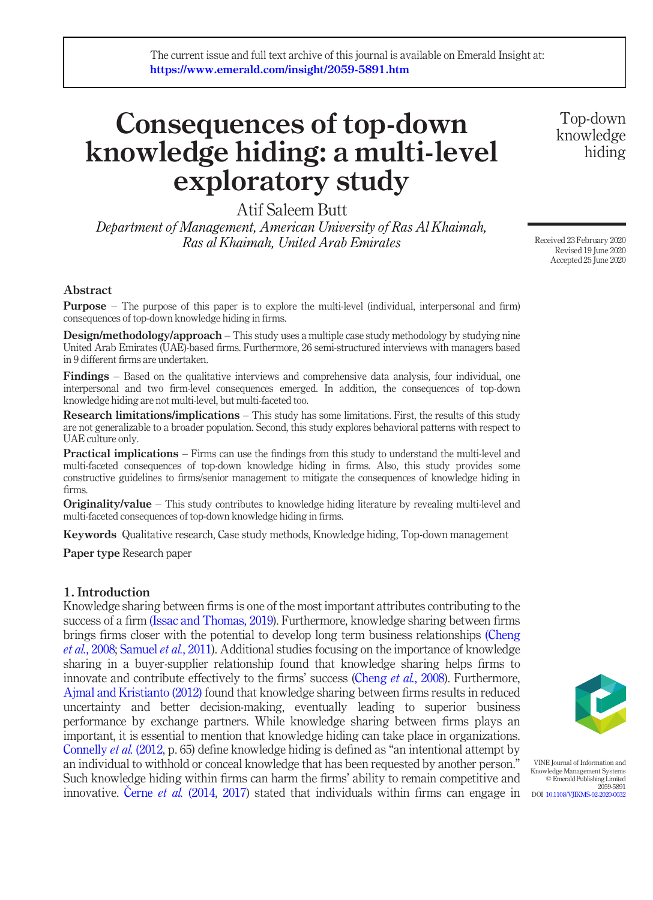# Consequences of top-down knowledge hiding: a multi-level exploratory study

Atif Saleem Butt

Department of Management, American University of Ras Al Khaimah, Ras al Khaimah, United Arab Emirates

#### Abstract

Purpose – The purpose of this paper is to explore the multi-level (individual, interpersonal and firm) consequences of top-down knowledge hiding in firms.

**Design/methodology/approach** – This study uses a multiple case study methodology by studying nine United Arab Emirates (UAE)-based firms. Furthermore, 26 semi-structured interviews with managers based in 9 different firms are undertaken.

Findings – Based on the qualitative interviews and comprehensive data analysis, four individual, one interpersonal and two firm-level consequences emerged. In addition, the consequences of top-down knowledge hiding are not multi-level, but multi-faceted too.

**Research limitations/implications** – This study has some limitations. First, the results of this study are not generalizable to a broader population. Second, this study explores behavioral patterns with respect to UAE culture only.

**Practical implications** – Firms can use the findings from this study to understand the multi-level and multi-faceted consequences of top-down knowledge hiding in firms. Also, this study provides some constructive guidelines to firms/senior management to mitigate the consequences of knowledge hiding in firms.

**Originality/value** – This study contributes to knowledge hiding literature by revealing multi-level and multi-faceted consequences of top-down knowledge hiding in firms.

Keywords Qualitative research, Case study methods, Knowledge hiding, Top-down management

Paper type Research paper

#### 1. Introduction

Knowledge sharing between firms is one of the most important attributes contributing to the success of a firm [\(Issac and Thomas, 2019](#page-20-0)). Furthermore, knowledge sharing between firms brings firms closer with the potential to develop long term business relationships [\(Cheng](#page-19-0) et al.[, 2008;](#page-19-0) [Samuel](#page-20-1) et al., 2011). Additional studies focusing on the importance of knowledge sharing in a buyer-supplier relationship found that knowledge sharing helps firms to innovate and contribute effectively to the firms' success [\(Cheng](#page-19-0) et al., 2008). Furthermore, [Ajmal and Kristianto \(2012\)](#page-19-1) found that knowledge sharing between firms results in reduced uncertainty and better decision-making, eventually leading to superior business performance by exchange partners. While knowledge sharing between firms plays an important, it is essential to mention that knowledge hiding can take place in organizations. [Connelly](#page-19-2) *et al.* (2012, p. 65) define knowledge hiding is defined as "an intentional attempt by an individual to withhold or conceal knowledge that has been requested by another person." Such knowledge hiding within firms can harm the firms' ability to remain competitive and innovative. Černe et al. (2014, [2017](#page-19-4)) stated that individuals within firms can engage in



VINE Journal of Information and Knowledge Management Systems © Emerald Publishing Limited 2059-5891 DOI [10.1108/VJIKMS-02-2020-0032](http://dx.doi.org/10.1108/VJIKMS-02-2020-0032)

Top-down knowledge hiding

Received 23 February 2020 Revised 19 June 2020 Accepted 25 June 2020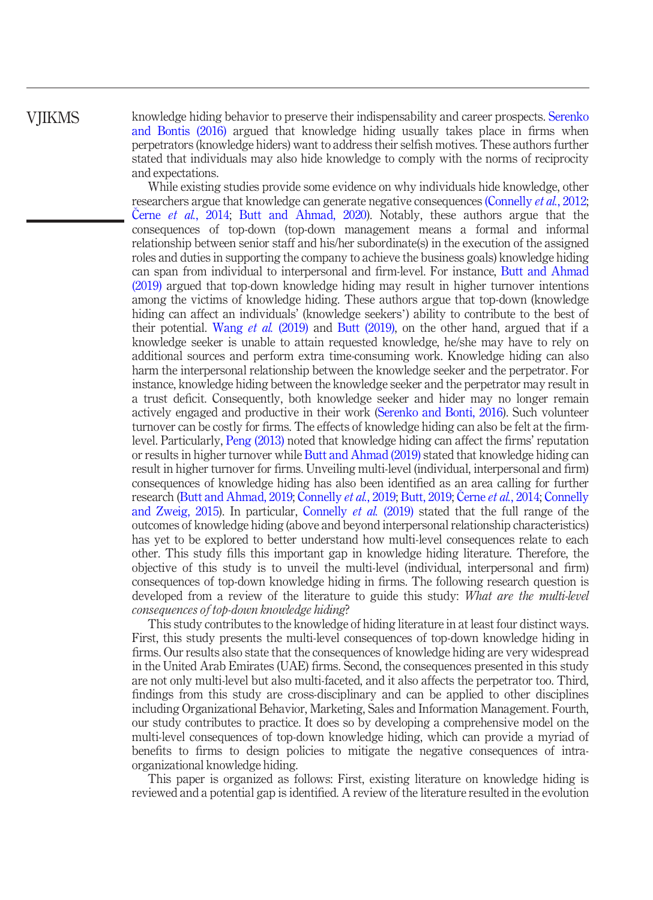knowledge hiding behavior to preserve their indispensability and career prospects. [Serenko](#page-20-2) [and Bontis \(2016\)](#page-20-2) argued that knowledge hiding usually takes place in firms when perpetrators (knowledge hiders) want to address their selfish motives. These authors further stated that individuals may also hide knowledge to comply with the norms of reciprocity and expectations.

While existing studies provide some evidence on why individuals hide knowledge, other researchers argue that knowledge can generate negative consequences [\(Connelly](#page-19-2) *et al.*, 2012; [Butt and Ahmad, 2020](#page-19-5)). Notably, these authors argue that the consequences of top-down (top-down management means a formal and informal relationship between senior staff and his/her subordinate(s) in the execution of the assigned roles and duties in supporting the company to achieve the business goals) knowledge hiding can span from individual to interpersonal and firm-level. For instance, [Butt and Ahmad](#page-19-6) [\(2019\)](#page-19-6) argued that top-down knowledge hiding may result in higher turnover intentions among the victims of knowledge hiding. These authors argue that top-down (knowledge hiding can affect an individuals' (knowledge seekers') ability to contribute to the best of their potential. [Wang](#page-20-3) *et al.* (2019) and [Butt \(2019\)](#page-19-7), on the other hand, argued that if a knowledge seeker is unable to attain requested knowledge, he/she may have to rely on additional sources and perform extra time-consuming work. Knowledge hiding can also harm the interpersonal relationship between the knowledge seeker and the perpetrator. For instance, knowledge hiding between the knowledge seeker and the perpetrator may result in a trust deficit. Consequently, both knowledge seeker and hider may no longer remain actively engaged and productive in their work ([Serenko and Bonti, 2016\)](#page-20-2). Such volunteer turnover can be costly for firms. The effects of knowledge hiding can also be felt at the firmlevel. Particularly, [Peng \(2013\)](#page-20-4) noted that knowledge hiding can affect the firms' reputation or results in higher turnover while [Butt and Ahmad \(2019\)](#page-19-6) stated that knowledge hiding can result in higher turnover for firms. Unveiling multi-level (individual, interpersonal and firm) consequences of knowledge hiding has also been identified as an area calling for further research [\(Butt and Ahmad, 2019](#page-19-6); [Connelly](#page-19-9) et al., 2019; [Butt, 2019](#page-19-7); Černe et al.[, 2014;](#page-19-3) Connelly [and Zweig, 2015](#page-19-9)). In particular, [Connelly](#page-19-8) et al. (2019) stated that the full range of the outcomes of knowledge hiding (above and beyond interpersonal relationship characteristics) has yet to be explored to better understand how multi-level consequences relate to each other. This study fills this important gap in knowledge hiding literature. Therefore, the objective of this study is to unveil the multi-level (individual, interpersonal and firm) consequences of top-down knowledge hiding in firms. The following research question is developed from a review of the literature to guide this study: *What are the multi-level* consequences of top-down knowledge hiding?

This study contributes to the knowledge of hiding literature in at least four distinct ways. First, this study presents the multi-level consequences of top-down knowledge hiding in firms. Our results also state that the consequences of knowledge hiding are very widespread in the United Arab Emirates (UAE) firms. Second, the consequences presented in this study are not only multi-level but also multi-faceted, and it also affects the perpetrator too. Third, findings from this study are cross-disciplinary and can be applied to other disciplines including Organizational Behavior, Marketing, Sales and Information Management. Fourth, our study contributes to practice. It does so by developing a comprehensive model on the multi-level consequences of top-down knowledge hiding, which can provide a myriad of benefits to firms to design policies to mitigate the negative consequences of intraorganizational knowledge hiding.

This paper is organized as follows: First, existing literature on knowledge hiding is reviewed and a potential gap is identified. A review of the literature resulted in the evolution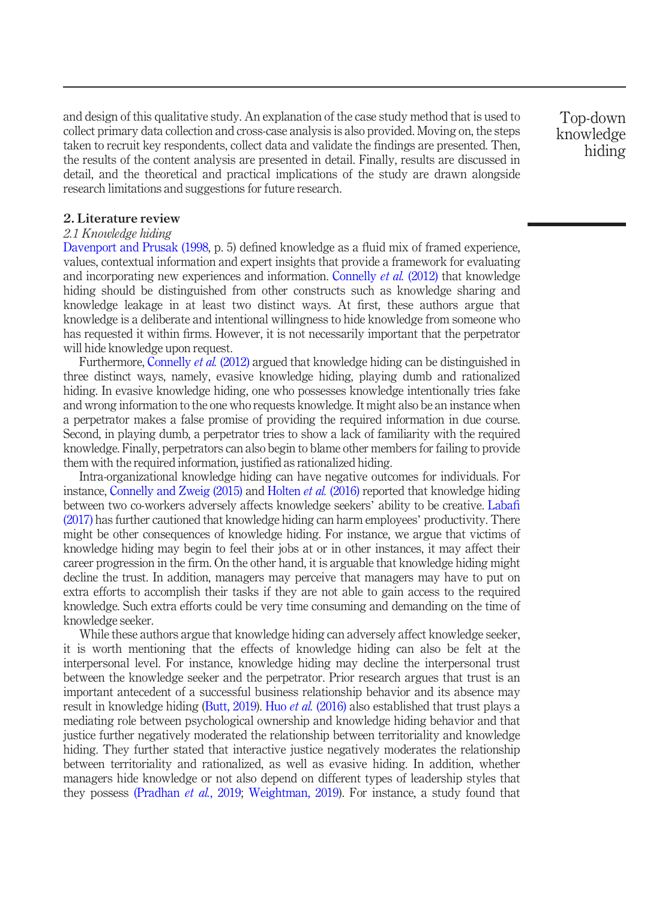and design of this qualitative study. An explanation of the case study method that is used to collect primary data collection and cross-case analysis is also provided. Moving on, the steps taken to recruit key respondents, collect data and validate the findings are presented. Then, the results of the content analysis are presented in detail. Finally, results are discussed in detail, and the theoretical and practical implications of the study are drawn alongside research limitations and suggestions for future research.

2. Literature review

#### 2.1 Knowledge hiding

[Davenport and Prusak \(1998](#page-19-10), p. 5) defined knowledge as a fluid mix of framed experience, values, contextual information and expert insights that provide a framework for evaluating and incorporating new experiences and information. [Connelly](#page-19-2) *et al.* (2012) that knowledge hiding should be distinguished from other constructs such as knowledge sharing and knowledge leakage in at least two distinct ways. At first, these authors argue that knowledge is a deliberate and intentional willingness to hide knowledge from someone who has requested it within firms. However, it is not necessarily important that the perpetrator will hide knowledge upon request.

Furthermore, [Connelly](#page-19-2) et al. (2012) argued that knowledge hiding can be distinguished in three distinct ways, namely, evasive knowledge hiding, playing dumb and rationalized hiding. In evasive knowledge hiding, one who possesses knowledge intentionally tries fake and wrong information to the one who requests knowledge. It might also be an instance when a perpetrator makes a false promise of providing the required information in due course. Second, in playing dumb, a perpetrator tries to show a lack of familiarity with the required knowledge. Finally, perpetrators can also begin to blame other members for failing to provide them with the required information, justified as rationalized hiding.

Intra-organizational knowledge hiding can have negative outcomes for individuals. For instance, [Connelly and Zweig \(2015\)](#page-19-9) and [Holten](#page-20-5) *et al.* (2016) reported that knowledge hiding between two co-workers adversely affects knowledge seekers' ability to be creative. [Laba](#page-20-6)fi [\(2017\)](#page-20-6) has further cautioned that knowledge hiding can harm employees' productivity. There might be other consequences of knowledge hiding. For instance, we argue that victims of knowledge hiding may begin to feel their jobs at or in other instances, it may affect their career progression in the firm. On the other hand, it is arguable that knowledge hiding might decline the trust. In addition, managers may perceive that managers may have to put on extra efforts to accomplish their tasks if they are not able to gain access to the required knowledge. Such extra efforts could be very time consuming and demanding on the time of knowledge seeker.

While these authors argue that knowledge hiding can adversely affect knowledge seeker, it is worth mentioning that the effects of knowledge hiding can also be felt at the interpersonal level. For instance, knowledge hiding may decline the interpersonal trust between the knowledge seeker and the perpetrator. Prior research argues that trust is an important antecedent of a successful business relationship behavior and its absence may result in knowledge hiding [\(Butt, 2019\)](#page-19-7). Huo *et al.* [\(2016\)](#page-20-7) also established that trust plays a mediating role between psychological ownership and knowledge hiding behavior and that justice further negatively moderated the relationship between territoriality and knowledge hiding. They further stated that interactive justice negatively moderates the relationship between territoriality and rationalized, as well as evasive hiding. In addition, whether managers hide knowledge or not also depend on different types of leadership styles that they possess [\(Pradhan](#page-20-8) et al., 2019; [Weightman, 2019\)](#page-20-9). For instance, a study found that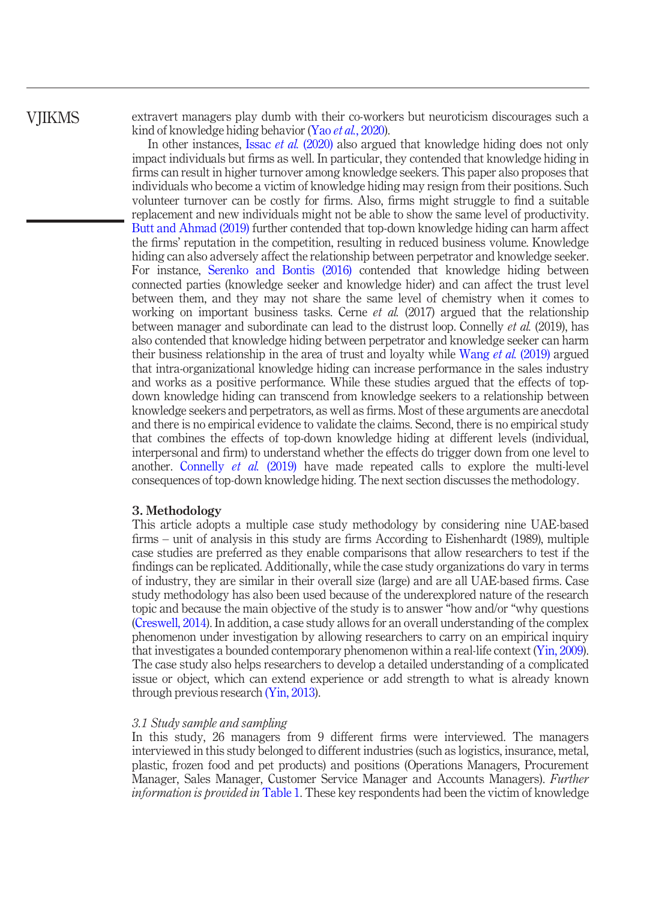extravert managers play dumb with their co-workers but neuroticism discourages such a kind of knowledge hiding behavior (Yao et al.[, 2020](#page-20-10)).

In other instances, Issac et al. [\(2020\)](#page-20-11) also argued that knowledge hiding does not only impact individuals but firms as well. In particular, they contended that knowledge hiding in firms can result in higher turnover among knowledge seekers. This paper also proposes that individuals who become a victim of knowledge hiding may resign from their positions. Such volunteer turnover can be costly for firms. Also, firms might struggle to find a suitable replacement and new individuals might not be able to show the same level of productivity. [Butt and Ahmad \(2019\)](#page-19-6) further contended that top-down knowledge hiding can harm affect the firms' reputation in the competition, resulting in reduced business volume. Knowledge hiding can also adversely affect the relationship between perpetrator and knowledge seeker. For instance, [Serenko and Bontis \(2016\)](#page-20-2) contended that knowledge hiding between connected parties (knowledge seeker and knowledge hider) and can affect the trust level between them, and they may not share the same level of chemistry when it comes to working on important business tasks. Cerne *et al.*  $(2017)$  argued that the relationship between manager and subordinate can lead to the distrust loop. Connelly et al. (2019), has also contended that knowledge hiding between perpetrator and knowledge seeker can harm their business relationship in the area of trust and loyalty while [Wang](#page-20-3) *et al.* (2019) argued that intra-organizational knowledge hiding can increase performance in the sales industry and works as a positive performance. While these studies argued that the effects of topdown knowledge hiding can transcend from knowledge seekers to a relationship between knowledge seekers and perpetrators, as well as firms. Most of these arguments are anecdotal and there is no empirical evidence to validate the claims. Second, there is no empirical study that combines the effects of top-down knowledge hiding at different levels (individual, interpersonal and firm) to understand whether the effects do trigger down from one level to another. [Connelly](#page-19-8) et al. (2019) have made repeated calls to explore the multi-level consequences of top-down knowledge hiding. The next section discusses the methodology.

#### 3. Methodology

This article adopts a multiple case study methodology by considering nine UAE-based firms – unit of analysis in this study are firms According to Eishenhardt (1989), multiple case studies are preferred as they enable comparisons that allow researchers to test if the findings can be replicated. Additionally, while the case study organizations do vary in terms of industry, they are similar in their overall size (large) and are all UAE-based firms. Case study methodology has also been used because of the underexplored nature of the research topic and because the main objective of the study is to answer "how and/or "why questions [\(Creswell, 2014\)](#page-19-11). In addition, a case study allows for an overall understanding of the complex phenomenon under investigation by allowing researchers to carry on an empirical inquiry that investigates a bounded contemporary phenomenon within a real-life context [\(Yin, 2009\)](#page-20-12). The case study also helps researchers to develop a detailed understanding of a complicated issue or object, which can extend experience or add strength to what is already known through previous research [\(Yin, 2013\)](#page-20-13).

#### 3.1 Study sample and sampling

In this study, 26 managers from 9 different firms were interviewed. The managers interviewed in this study belonged to different industries (such as logistics, insurance, metal, plastic, frozen food and pet products) and positions (Operations Managers, Procurement Manager, Sales Manager, Customer Service Manager and Accounts Managers). Further information is provided in [Table 1.](#page-4-0) These key respondents had been the victim of knowledge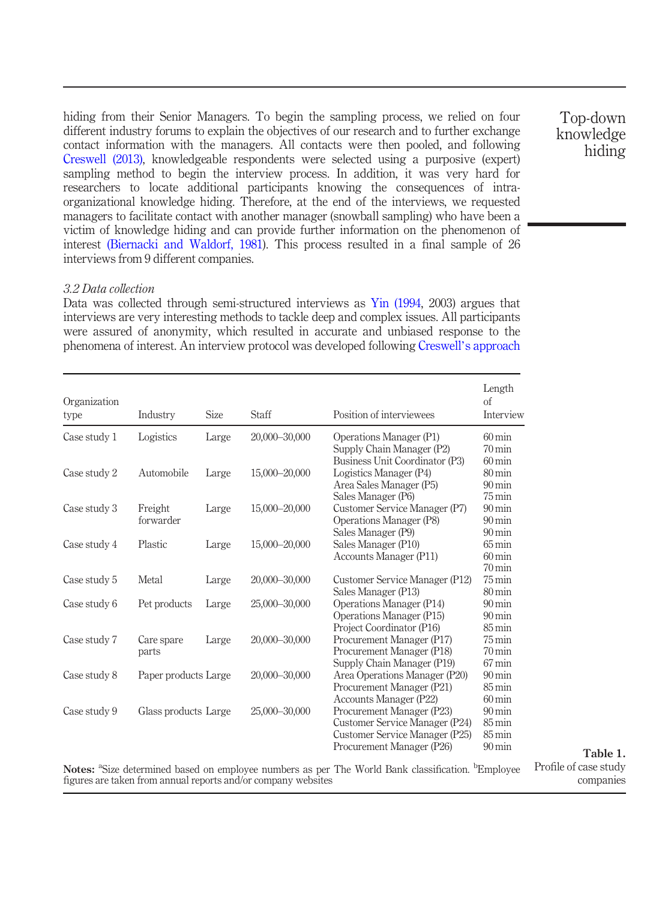hiding from their Senior Managers. To begin the sampling process, we relied on four different industry forums to explain the objectives of our research and to further exchange contact information with the managers. All contacts were then pooled, and following [Creswell \(2013\),](#page-19-12) knowledgeable respondents were selected using a purposive (expert) sampling method to begin the interview process. In addition, it was very hard for researchers to locate additional participants knowing the consequences of intraorganizational knowledge hiding. Therefore, at the end of the interviews, we requested managers to facilitate contact with another manager (snowball sampling) who have been a victim of knowledge hiding and can provide further information on the phenomenon of interest [\(Biernacki and Waldorf, 1981\)](#page-19-13). This process resulted in a final sample of 26 interviews from 9 different companies.

#### 3.2 Data collection

Data was collected through semi-structured interviews as [Yin \(1994](#page-20-14), 2003) argues that interviews are very interesting methods to tackle deep and complex issues. All participants were assured of anonymity, which resulted in accurate and unbiased response to the phenomena of interest. An interview protocol was developed following Creswell'[s approach](#page-19-12)

| Organization<br>type | Industry             | <b>Size</b> | Staff                                                         | Position of interviewees                                                                                      | Length<br>of<br>Interview                  |
|----------------------|----------------------|-------------|---------------------------------------------------------------|---------------------------------------------------------------------------------------------------------------|--------------------------------------------|
| Case study 1         | Logistics            | Large       | 20,000-30,000                                                 | Operations Manager (P1)                                                                                       | $60 \,\mathrm{min}$                        |
|                      |                      |             |                                                               | Supply Chain Manager (P2)                                                                                     | $70 \,\mathrm{min}$                        |
|                      |                      |             |                                                               | Business Unit Coordinator (P3)                                                                                | $60 \,\mathrm{min}$                        |
| Case study 2         | Automobile           | Large       | 15,000-20,000                                                 | Logistics Manager (P4)                                                                                        | $80 \,\mathrm{min}$                        |
|                      |                      |             |                                                               | Area Sales Manager (P5)                                                                                       | $90 \,\mathrm{min}$                        |
|                      |                      |             |                                                               | Sales Manager (P6)                                                                                            | $75 \,\mathrm{min}$                        |
| Case study 3         | Freight              | Large       | 15,000-20,000                                                 | Customer Service Manager (P7)                                                                                 | $90 \,\mathrm{min}$                        |
|                      | forwarder            |             |                                                               | Operations Manager (P8)                                                                                       | $90 \,\mathrm{min}$                        |
|                      |                      |             |                                                               | Sales Manager (P9)                                                                                            | $90 \,\mathrm{min}$                        |
| Case study 4         | Plastic              | Large       | 15,000-20,000                                                 | Sales Manager (P10)                                                                                           | $65 \,\mathrm{min}$                        |
|                      |                      |             |                                                               | Accounts Manager (P11)                                                                                        | $60 \,\mathrm{min}$                        |
|                      |                      |             |                                                               |                                                                                                               | $70 \,\mathrm{min}$                        |
| Case study 5         | Metal                | Large       | 20.000-30.000                                                 | Customer Service Manager (P12)                                                                                | $75 \,\mathrm{min}$                        |
|                      |                      |             |                                                               | Sales Manager (P13)                                                                                           | $80 \,\mathrm{min}$                        |
| Case study 6         | Pet products         | Large       | 25,000-30,000                                                 | Operations Manager (P14)                                                                                      | $90 \,\mathrm{min}$                        |
|                      |                      |             |                                                               | Operations Manager (P15)                                                                                      | $90 \,\mathrm{min}$                        |
|                      |                      |             |                                                               | Project Coordinator (P16)                                                                                     | $85 \,\mathrm{min}$                        |
| Case study 7         | Care spare           | Large       | 20,000-30,000                                                 | Procurement Manager (P17)                                                                                     | $75 \,\mathrm{min}$                        |
|                      | parts                |             |                                                               | Procurement Manager (P18)                                                                                     | $70 \,\mathrm{min}$                        |
|                      |                      |             |                                                               | Supply Chain Manager (P19)                                                                                    | $67 \,\mathrm{min}$                        |
| Case study 8         | Paper products Large |             | 20,000-30,000                                                 | Area Operations Manager (P20)                                                                                 | $90 \,\mathrm{min}$                        |
|                      |                      |             |                                                               | Procurement Manager (P21)                                                                                     | $85 \,\mathrm{min}$                        |
|                      |                      |             |                                                               | Accounts Manager (P22)                                                                                        | $60 \,\mathrm{min}$                        |
| Case study 9         | Glass products Large |             | 25,000-30,000                                                 | Procurement Manager (P23)                                                                                     | $90 \,\mathrm{min}$                        |
|                      |                      |             |                                                               | Customer Service Manager (P24)                                                                                | $85 \,\mathrm{min}$<br>$85 \,\mathrm{min}$ |
|                      |                      |             |                                                               | Customer Service Manager (P25)<br>Procurement Manager (P26)                                                   | $90 \,\mathrm{min}$                        |
|                      |                      |             |                                                               |                                                                                                               |                                            |
|                      |                      |             |                                                               | Notes: "Size determined based on employee numbers as per The World Bank classification. <sup>b</sup> Employee |                                            |
|                      |                      |             | figures are taken from annual reports and/or company websites |                                                                                                               |                                            |

Top-down knowledge hiding

Table 1.

<span id="page-4-0"></span>ile of case study companies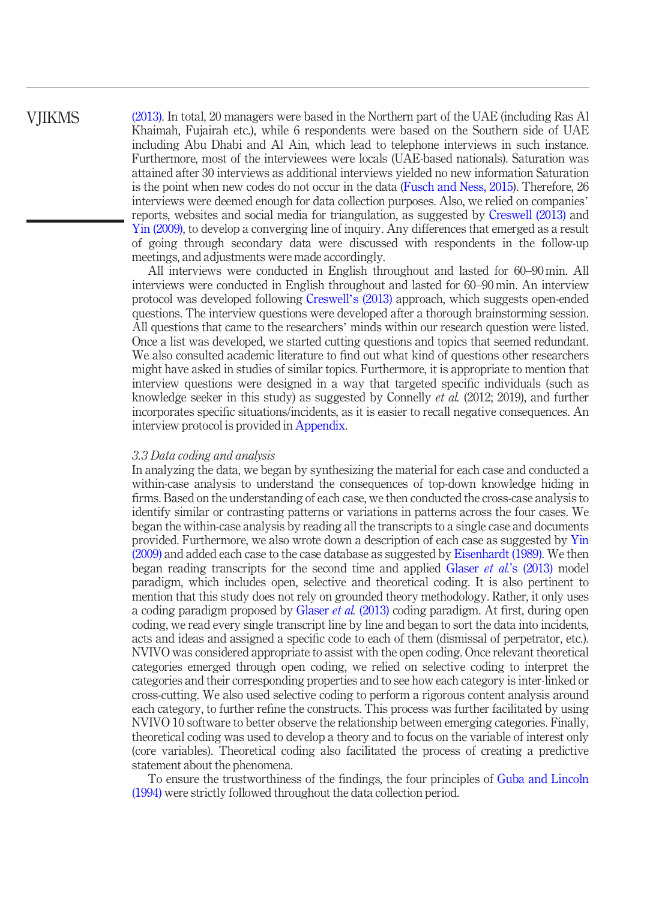## **VIIKMS**

[\(2013\)](#page-19-12). In total, 20 managers were based in the Northern part of the UAE (including Ras Al Khaimah, Fujairah etc.), while 6 respondents were based on the Southern side of UAE including Abu Dhabi and Al Ain, which lead to telephone interviews in such instance. Furthermore, most of the interviewees were locals (UAE-based nationals). Saturation was attained after 30 interviews as additional interviews yielded no new information Saturation is the point when new codes do not occur in the data [\(Fusch and Ness, 2015\)](#page-20-15). Therefore, 26 interviews were deemed enough for data collection purposes. Also, we relied on companies' reports, websites and social media for triangulation, as suggested by [Creswell \(2013\)](#page-19-12) and [Yin \(2009\)](#page-20-12), to develop a converging line of inquiry. Any differences that emerged as a result of going through secondary data were discussed with respondents in the follow-up meetings, and adjustments were made accordingly.

All interviews were conducted in English throughout and lasted for 60–90 min. All interviews were conducted in English throughout and lasted for 60–90 min. An interview protocol was developed following [Creswell](#page-19-12)'s (2013) approach, which suggests open-ended questions. The interview questions were developed after a thorough brainstorming session. All questions that came to the researchers' minds within our research question were listed. Once a list was developed, we started cutting questions and topics that seemed redundant. We also consulted academic literature to find out what kind of questions other researchers might have asked in studies of similar topics. Furthermore, it is appropriate to mention that interview questions were designed in a way that targeted specific individuals (such as knowledge seeker in this study) as suggested by Connelly et al. (2012; 2019), and further incorporates specific situations/incidents, as it is easier to recall negative consequences. An interview protocol is provided in [Appendix.](#page-22-0)

#### 3.3 Data coding and analysis

In analyzing the data, we began by synthesizing the material for each case and conducted a within-case analysis to understand the consequences of top-down knowledge hiding in firms. Based on the understanding of each case, we then conducted the cross-case analysis to identify similar or contrasting patterns or variations in patterns across the four cases. We began the within-case analysis by reading all the transcripts to a single case and documents provided. Furthermore, we also wrote down a description of each case as suggested by [Yin](#page-20-12) [\(2009\)](#page-20-12) and added each case to the case database as suggested by [Eisenhardt \(1989\)](#page-19-14). We then began reading transcripts for the second time and applied Glaser *et al.*'[s \(2013\)](#page-20-16) model paradigm, which includes open, selective and theoretical coding. It is also pertinent to mention that this study does not rely on grounded theory methodology. Rather, it only uses a coding paradigm proposed by [Glaser](#page-20-16) et al. (2013) coding paradigm. At first, during open coding, we read every single transcript line by line and began to sort the data into incidents, acts and ideas and assigned a specific code to each of them (dismissal of perpetrator, etc.). NVIVO was considered appropriate to assist with the open coding. Once relevant theoretical categories emerged through open coding, we relied on selective coding to interpret the categories and their corresponding properties and to see how each category is inter-linked or cross-cutting. We also used selective coding to perform a rigorous content analysis around each category, to further refine the constructs. This process was further facilitated by using NVIVO 10 software to better observe the relationship between emerging categories. Finally, theoretical coding was used to develop a theory and to focus on the variable of interest only (core variables). Theoretical coding also facilitated the process of creating a predictive statement about the phenomena.

To ensure the trustworthiness of the findings, the four principles of [Guba and Lincoln](#page-20-17) [\(1994\)](#page-20-17) were strictly followed throughout the data collection period.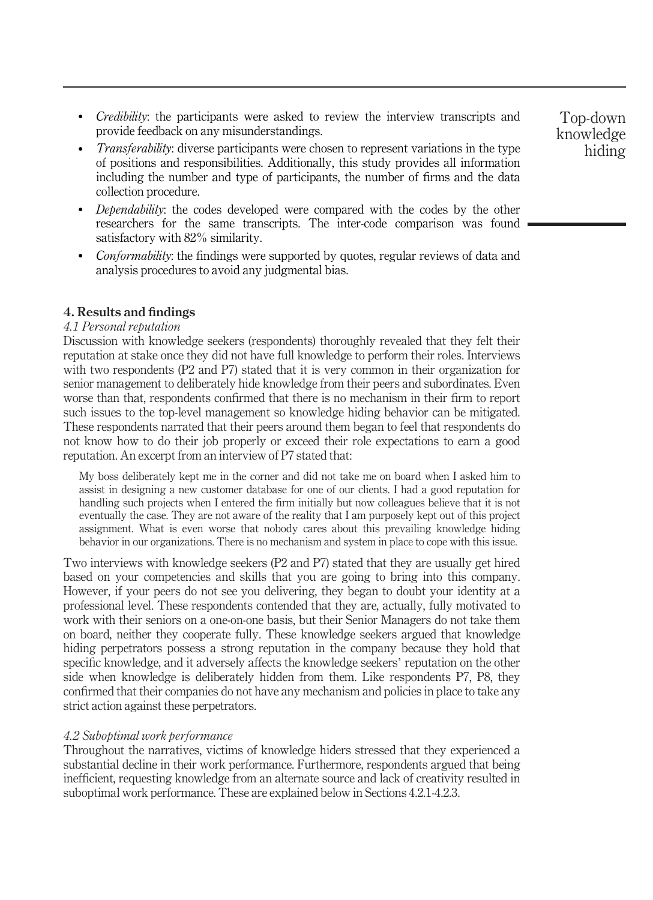- Credibility: the participants were asked to review the interview transcripts and provide feedback on any misunderstandings.
- Transferability: diverse participants were chosen to represent variations in the type of positions and responsibilities. Additionally, this study provides all information including the number and type of participants, the number of firms and the data collection procedure.
- Dependability: the codes developed were compared with the codes by the other researchers for the same transcripts. The inter-code comparison was found satisfactory with 82% similarity.
- *Conformability*: the findings were supported by quotes, regular reviews of data and analysis procedures to avoid any judgmental bias.

#### 4. Results and findings

#### 4.1 Personal reputation

Discussion with knowledge seekers (respondents) thoroughly revealed that they felt their reputation at stake once they did not have full knowledge to perform their roles. Interviews with two respondents (P2 and P7) stated that it is very common in their organization for senior management to deliberately hide knowledge from their peers and subordinates. Even worse than that, respondents confirmed that there is no mechanism in their firm to report such issues to the top-level management so knowledge hiding behavior can be mitigated. These respondents narrated that their peers around them began to feel that respondents do not know how to do their job properly or exceed their role expectations to earn a good reputation. An excerpt from an interview of P7 stated that:

My boss deliberately kept me in the corner and did not take me on board when I asked him to assist in designing a new customer database for one of our clients. I had a good reputation for handling such projects when I entered the firm initially but now colleagues believe that it is not eventually the case. They are not aware of the reality that I am purposely kept out of this project assignment. What is even worse that nobody cares about this prevailing knowledge hiding behavior in our organizations. There is no mechanism and system in place to cope with this issue.

Two interviews with knowledge seekers (P2 and P7) stated that they are usually get hired based on your competencies and skills that you are going to bring into this company. However, if your peers do not see you delivering, they began to doubt your identity at a professional level. These respondents contended that they are, actually, fully motivated to work with their seniors on a one-on-one basis, but their Senior Managers do not take them on board, neither they cooperate fully. These knowledge seekers argued that knowledge hiding perpetrators possess a strong reputation in the company because they hold that specific knowledge, and it adversely affects the knowledge seekers' reputation on the other side when knowledge is deliberately hidden from them. Like respondents P7, P8, they confirmed that their companies do not have any mechanism and policies in place to take any strict action against these perpetrators.

#### 4.2 Suboptimal work performance

Throughout the narratives, victims of knowledge hiders stressed that they experienced a substantial decline in their work performance. Furthermore, respondents argued that being inefficient, requesting knowledge from an alternate source and lack of creativity resulted in suboptimal work performance. These are explained below in Sections 4.2.1-4.2.3.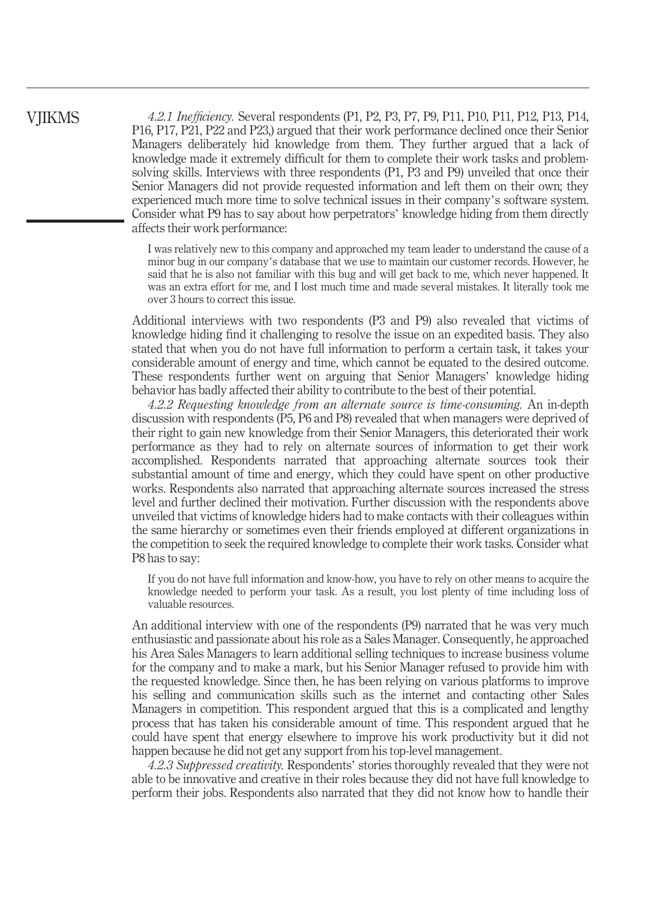4.2.1 Inefficiency. Several respondents (P1, P2, P3, P7, P9, P11, P10, P11, P12, P13, P14, P16, P17, P21, P22 and P23,) argued that their work performance declined once their Senior Managers deliberately hid knowledge from them. They further argued that a lack of knowledge made it extremely difficult for them to complete their work tasks and problemsolving skills. Interviews with three respondents (P1, P3 and P9) unveiled that once their Senior Managers did not provide requested information and left them on their own; they experienced much more time to solve technical issues in their company's software system. Consider what P9 has to say about how perpetrators' knowledge hiding from them directly affects their work performance:

I was relatively new to this company and approached my team leader to understand the cause of a minor bug in our company's database that we use to maintain our customer records. However, he said that he is also not familiar with this bug and will get back to me, which never happened. It was an extra effort for me, and I lost much time and made several mistakes. It literally took me over 3 hours to correct this issue.

Additional interviews with two respondents (P3 and P9) also revealed that victims of knowledge hiding find it challenging to resolve the issue on an expedited basis. They also stated that when you do not have full information to perform a certain task, it takes your considerable amount of energy and time, which cannot be equated to the desired outcome. These respondents further went on arguing that Senior Managers' knowledge hiding behavior has badly affected their ability to contribute to the best of their potential.

4.2.2 Requesting knowledge from an alternate source is time-consuming. An in-depth discussion with respondents (P5, P6 and P8) revealed that when managers were deprived of their right to gain new knowledge from their Senior Managers, this deteriorated their work performance as they had to rely on alternate sources of information to get their work accomplished. Respondents narrated that approaching alternate sources took their substantial amount of time and energy, which they could have spent on other productive works. Respondents also narrated that approaching alternate sources increased the stress level and further declined their motivation. Further discussion with the respondents above unveiled that victims of knowledge hiders had to make contacts with their colleagues within the same hierarchy or sometimes even their friends employed at different organizations in the competition to seek the required knowledge to complete their work tasks. Consider what P8 has to say:

If you do not have full information and know-how, you have to rely on other means to acquire the knowledge needed to perform your task. As a result, you lost plenty of time including loss of valuable resources.

An additional interview with one of the respondents (P9) narrated that he was very much enthusiastic and passionate about his role as a Sales Manager. Consequently, he approached his Area Sales Managers to learn additional selling techniques to increase business volume for the company and to make a mark, but his Senior Manager refused to provide him with the requested knowledge. Since then, he has been relying on various platforms to improve his selling and communication skills such as the internet and contacting other Sales Managers in competition. This respondent argued that this is a complicated and lengthy process that has taken his considerable amount of time. This respondent argued that he could have spent that energy elsewhere to improve his work productivity but it did not happen because he did not get any support from his top-level management.

4.2.3 Suppressed creativity. Respondents' stories thoroughly revealed that they were not able to be innovative and creative in their roles because they did not have full knowledge to perform their jobs. Respondents also narrated that they did not know how to handle their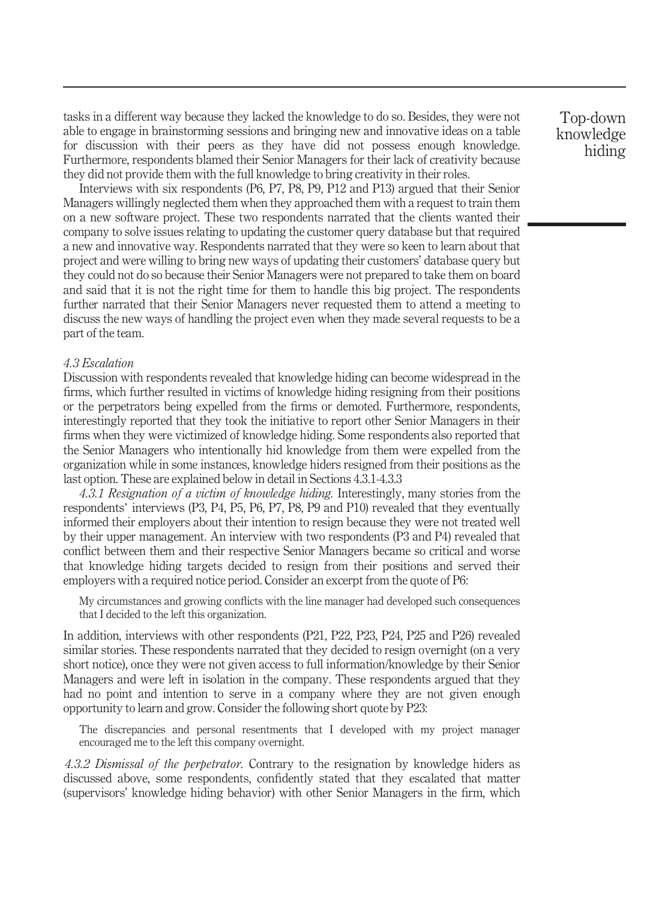tasks in a different way because they lacked the knowledge to do so. Besides, they were not able to engage in brainstorming sessions and bringing new and innovative ideas on a table for discussion with their peers as they have did not possess enough knowledge. Furthermore, respondents blamed their Senior Managers for their lack of creativity because they did not provide them with the full knowledge to bring creativity in their roles.

Interviews with six respondents (P6, P7, P8, P9, P12 and P13) argued that their Senior Managers willingly neglected them when they approached them with a request to train them on a new software project. These two respondents narrated that the clients wanted their company to solve issues relating to updating the customer query database but that required a new and innovative way. Respondents narrated that they were so keen to learn about that project and were willing to bring new ways of updating their customers' database query but they could not do so because their Senior Managers were not prepared to take them on board and said that it is not the right time for them to handle this big project. The respondents further narrated that their Senior Managers never requested them to attend a meeting to discuss the new ways of handling the project even when they made several requests to be a part of the team.

#### 4.3 Escalation

Discussion with respondents revealed that knowledge hiding can become widespread in the firms, which further resulted in victims of knowledge hiding resigning from their positions or the perpetrators being expelled from the firms or demoted. Furthermore, respondents, interestingly reported that they took the initiative to report other Senior Managers in their firms when they were victimized of knowledge hiding. Some respondents also reported that the Senior Managers who intentionally hid knowledge from them were expelled from the organization while in some instances, knowledge hiders resigned from their positions as the last option. These are explained below in detail in Sections 4.3.1-4.3.3

4.3.1 Resignation of a victim of knowledge hiding. Interestingly, many stories from the respondents' interviews (P3, P4, P5, P6, P7, P8, P9 and P10) revealed that they eventually informed their employers about their intention to resign because they were not treated well by their upper management. An interview with two respondents (P3 and P4) revealed that conflict between them and their respective Senior Managers became so critical and worse that knowledge hiding targets decided to resign from their positions and served their employers with a required notice period. Consider an excerpt from the quote of P6:

My circumstances and growing conflicts with the line manager had developed such consequences that I decided to the left this organization.

In addition, interviews with other respondents (P21, P22, P23, P24, P25 and P26) revealed similar stories. These respondents narrated that they decided to resign overnight (on a very short notice), once they were not given access to full information/knowledge by their Senior Managers and were left in isolation in the company. These respondents argued that they had no point and intention to serve in a company where they are not given enough opportunity to learn and grow. Consider the following short quote by P23:

The discrepancies and personal resentments that I developed with my project manager encouraged me to the left this company overnight.

4.3.2 Dismissal of the perpetrator. Contrary to the resignation by knowledge hiders as discussed above, some respondents, confidently stated that they escalated that matter (supervisors' knowledge hiding behavior) with other Senior Managers in the firm, which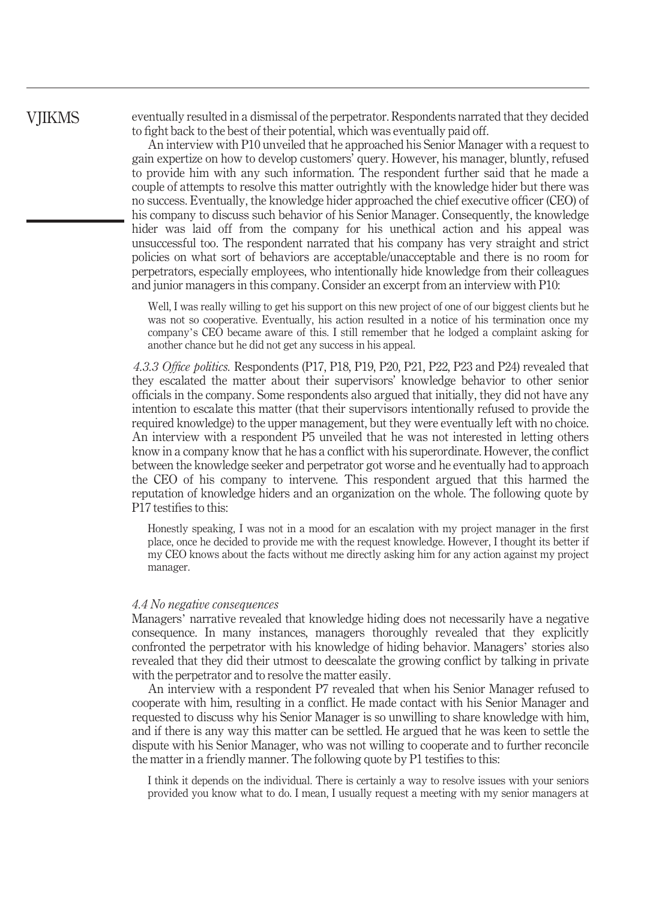eventually resulted in a dismissal of the perpetrator. Respondents narrated that they decided to fight back to the best of their potential, which was eventually paid off.

An interview with P10 unveiled that he approached his Senior Manager with a request to gain expertize on how to develop customers' query. However, his manager, bluntly, refused to provide him with any such information. The respondent further said that he made a couple of attempts to resolve this matter outrightly with the knowledge hider but there was no success. Eventually, the knowledge hider approached the chief executive officer (CEO) of his company to discuss such behavior of his Senior Manager. Consequently, the knowledge hider was laid off from the company for his unethical action and his appeal was unsuccessful too. The respondent narrated that his company has very straight and strict policies on what sort of behaviors are acceptable/unacceptable and there is no room for perpetrators, especially employees, who intentionally hide knowledge from their colleagues and junior managers in this company. Consider an excerpt from an interview with P10:

Well, I was really willing to get his support on this new project of one of our biggest clients but he was not so cooperative. Eventually, his action resulted in a notice of his termination once my company's CEO became aware of this. I still remember that he lodged a complaint asking for another chance but he did not get any success in his appeal.

4.3.3 Office politics. Respondents (P17, P18, P19, P20, P21, P22, P23 and P24) revealed that they escalated the matter about their supervisors' knowledge behavior to other senior officials in the company. Some respondents also argued that initially, they did not have any intention to escalate this matter (that their supervisors intentionally refused to provide the required knowledge) to the upper management, but they were eventually left with no choice. An interview with a respondent P5 unveiled that he was not interested in letting others know in a company know that he has a conflict with his superordinate. However, the conflict between the knowledge seeker and perpetrator got worse and he eventually had to approach the CEO of his company to intervene. This respondent argued that this harmed the reputation of knowledge hiders and an organization on the whole. The following quote by P17 testifies to this:

Honestly speaking, I was not in a mood for an escalation with my project manager in the first place, once he decided to provide me with the request knowledge. However, I thought its better if my CEO knows about the facts without me directly asking him for any action against my project manager.

#### 4.4 No negative consequences

Managers' narrative revealed that knowledge hiding does not necessarily have a negative consequence. In many instances, managers thoroughly revealed that they explicitly confronted the perpetrator with his knowledge of hiding behavior. Managers' stories also revealed that they did their utmost to deescalate the growing conflict by talking in private with the perpetrator and to resolve the matter easily.

An interview with a respondent P7 revealed that when his Senior Manager refused to cooperate with him, resulting in a conflict. He made contact with his Senior Manager and requested to discuss why his Senior Manager is so unwilling to share knowledge with him, and if there is any way this matter can be settled. He argued that he was keen to settle the dispute with his Senior Manager, who was not willing to cooperate and to further reconcile the matter in a friendly manner. The following quote by P1 testifies to this:

I think it depends on the individual. There is certainly a way to resolve issues with your seniors provided you know what to do. I mean, I usually request a meeting with my senior managers at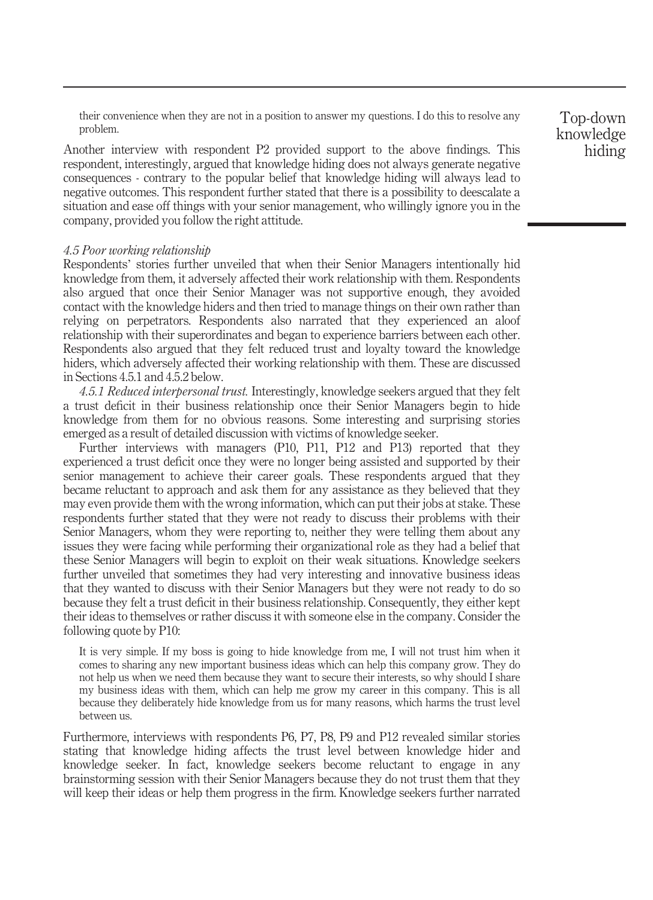their convenience when they are not in a position to answer my questions. I do this to resolve any problem.

Another interview with respondent P2 provided support to the above findings. This respondent, interestingly, argued that knowledge hiding does not always generate negative consequences - contrary to the popular belief that knowledge hiding will always lead to negative outcomes. This respondent further stated that there is a possibility to deescalate a situation and ease off things with your senior management, who willingly ignore you in the company, provided you follow the right attitude.

#### 4.5 Poor working relationship

Respondents' stories further unveiled that when their Senior Managers intentionally hid knowledge from them, it adversely affected their work relationship with them. Respondents also argued that once their Senior Manager was not supportive enough, they avoided contact with the knowledge hiders and then tried to manage things on their own rather than relying on perpetrators. Respondents also narrated that they experienced an aloof relationship with their superordinates and began to experience barriers between each other. Respondents also argued that they felt reduced trust and loyalty toward the knowledge hiders, which adversely affected their working relationship with them. These are discussed in Sections 4.5.1 and 4.5.2 below.

4.5.1 Reduced interpersonal trust. Interestingly, knowledge seekers argued that they felt a trust deficit in their business relationship once their Senior Managers begin to hide knowledge from them for no obvious reasons. Some interesting and surprising stories emerged as a result of detailed discussion with victims of knowledge seeker.

Further interviews with managers (P10, P11, P12 and P13) reported that they experienced a trust deficit once they were no longer being assisted and supported by their senior management to achieve their career goals. These respondents argued that they became reluctant to approach and ask them for any assistance as they believed that they may even provide them with the wrong information, which can put their jobs at stake. These respondents further stated that they were not ready to discuss their problems with their Senior Managers, whom they were reporting to, neither they were telling them about any issues they were facing while performing their organizational role as they had a belief that these Senior Managers will begin to exploit on their weak situations. Knowledge seekers further unveiled that sometimes they had very interesting and innovative business ideas that they wanted to discuss with their Senior Managers but they were not ready to do so because they felt a trust deficit in their business relationship. Consequently, they either kept their ideas to themselves or rather discuss it with someone else in the company. Consider the following quote by P10:

It is very simple. If my boss is going to hide knowledge from me, I will not trust him when it comes to sharing any new important business ideas which can help this company grow. They do not help us when we need them because they want to secure their interests, so why should I share my business ideas with them, which can help me grow my career in this company. This is all because they deliberately hide knowledge from us for many reasons, which harms the trust level between us.

Furthermore, interviews with respondents P6, P7, P8, P9 and P12 revealed similar stories stating that knowledge hiding affects the trust level between knowledge hider and knowledge seeker. In fact, knowledge seekers become reluctant to engage in any brainstorming session with their Senior Managers because they do not trust them that they will keep their ideas or help them progress in the firm. Knowledge seekers further narrated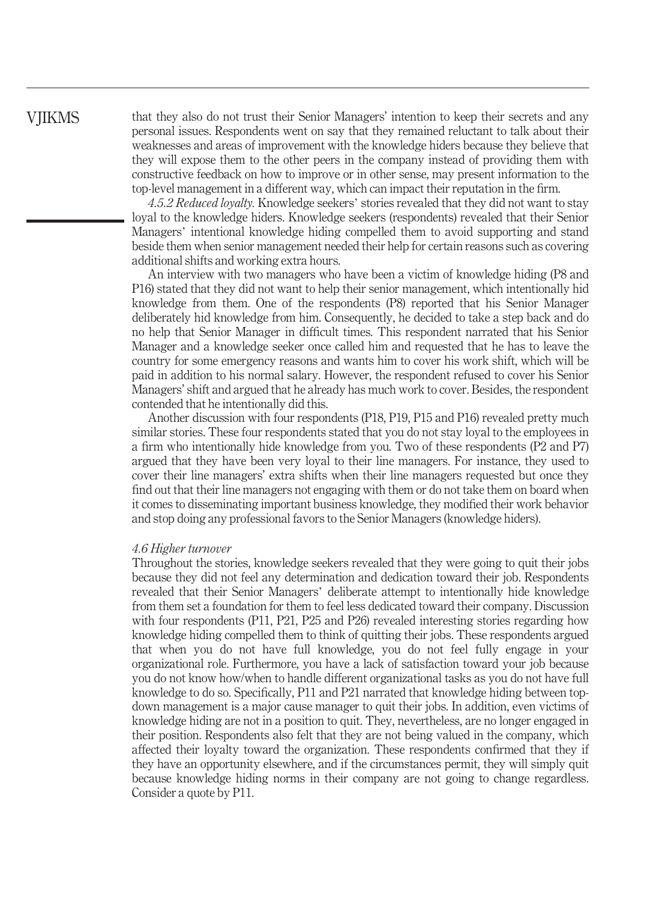that they also do not trust their Senior Managers' intention to keep their secrets and any personal issues. Respondents went on say that they remained reluctant to talk about their weaknesses and areas of improvement with the knowledge hiders because they believe that they will expose them to the other peers in the company instead of providing them with constructive feedback on how to improve or in other sense, may present information to the top-level management in a different way, which can impact their reputation in the firm.

4.5.2 Reduced loyalty. Knowledge seekers' stories revealed that they did not want to stay loyal to the knowledge hiders. Knowledge seekers (respondents) revealed that their Senior Managers' intentional knowledge hiding compelled them to avoid supporting and stand beside them when senior management needed their help for certain reasons such as covering additional shifts and working extra hours.

An interview with two managers who have been a victim of knowledge hiding (P8 and P16) stated that they did not want to help their senior management, which intentionally hid knowledge from them. One of the respondents (P8) reported that his Senior Manager deliberately hid knowledge from him. Consequently, he decided to take a step back and do no help that Senior Manager in difficult times. This respondent narrated that his Senior Manager and a knowledge seeker once called him and requested that he has to leave the country for some emergency reasons and wants him to cover his work shift, which will be paid in addition to his normal salary. However, the respondent refused to cover his Senior Managers' shift and argued that he already has much work to cover. Besides, the respondent contended that he intentionally did this.

Another discussion with four respondents (P18, P19, P15 and P16) revealed pretty much similar stories. These four respondents stated that you do not stay loyal to the employees in a firm who intentionally hide knowledge from you. Two of these respondents (P2 and P7) argued that they have been very loyal to their line managers. For instance, they used to cover their line managers' extra shifts when their line managers requested but once they find out that their line managers not engaging with them or do not take them on board when it comes to disseminating important business knowledge, they modified their work behavior and stop doing any professional favors to the Senior Managers (knowledge hiders).

#### 4.6 Higher turnover

Throughout the stories, knowledge seekers revealed that they were going to quit their jobs because they did not feel any determination and dedication toward their job. Respondents revealed that their Senior Managers' deliberate attempt to intentionally hide knowledge from them set a foundation for them to feel less dedicated toward their company. Discussion with four respondents (P11, P21, P25 and P26) revealed interesting stories regarding how knowledge hiding compelled them to think of quitting their jobs. These respondents argued that when you do not have full knowledge, you do not feel fully engage in your organizational role. Furthermore, you have a lack of satisfaction toward your job because you do not know how/when to handle different organizational tasks as you do not have full knowledge to do so. Specifically, P11 and P21 narrated that knowledge hiding between topdown management is a major cause manager to quit their jobs. In addition, even victims of knowledge hiding are not in a position to quit. They, nevertheless, are no longer engaged in their position. Respondents also felt that they are not being valued in the company, which affected their loyalty toward the organization. These respondents confirmed that they if they have an opportunity elsewhere, and if the circumstances permit, they will simply quit because knowledge hiding norms in their company are not going to change regardless. Consider a quote by P11.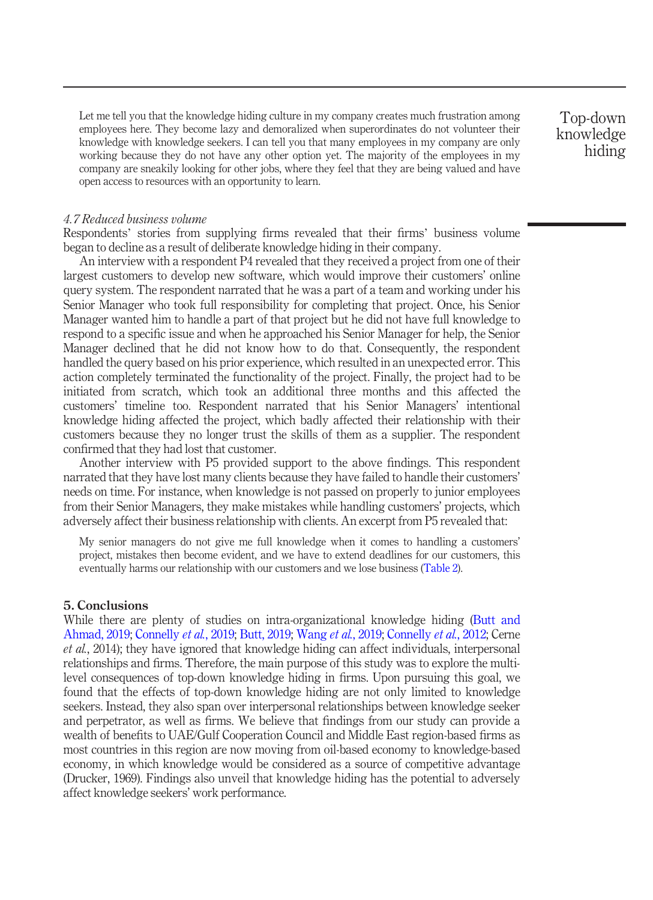Let me tell you that the knowledge hiding culture in my company creates much frustration among employees here. They become lazy and demoralized when superordinates do not volunteer their knowledge with knowledge seekers. I can tell you that many employees in my company are only working because they do not have any other option yet. The majority of the employees in my company are sneakily looking for other jobs, where they feel that they are being valued and have open access to resources with an opportunity to learn.

Top-down knowledge hiding

#### 4.7 Reduced business volume

Respondents' stories from supplying firms revealed that their firms' business volume began to decline as a result of deliberate knowledge hiding in their company.

An interview with a respondent P4 revealed that they received a project from one of their largest customers to develop new software, which would improve their customers' online query system. The respondent narrated that he was a part of a team and working under his Senior Manager who took full responsibility for completing that project. Once, his Senior Manager wanted him to handle a part of that project but he did not have full knowledge to respond to a specific issue and when he approached his Senior Manager for help, the Senior Manager declined that he did not know how to do that. Consequently, the respondent handled the query based on his prior experience, which resulted in an unexpected error. This action completely terminated the functionality of the project. Finally, the project had to be initiated from scratch, which took an additional three months and this affected the customers' timeline too. Respondent narrated that his Senior Managers' intentional knowledge hiding affected the project, which badly affected their relationship with their customers because they no longer trust the skills of them as a supplier. The respondent confirmed that they had lost that customer.

Another interview with P5 provided support to the above findings. This respondent narrated that they have lost many clients because they have failed to handle their customers' needs on time. For instance, when knowledge is not passed on properly to junior employees from their Senior Managers, they make mistakes while handling customers' projects, which adversely affect their business relationship with clients. An excerpt from P5 revealed that:

My senior managers do not give me full knowledge when it comes to handling a customers' project, mistakes then become evident, and we have to extend deadlines for our customers, this eventually harms our relationship with our customers and we lose business [\(Table 2\)](#page-13-0).

#### 5. Conclusions

While there are plenty of studies on intra-organizational knowledge hiding ([Butt and](#page-19-6) [Ahmad, 2019](#page-19-6); [Connelly](#page-19-8) et al., 2019; [Butt, 2019;](#page-19-7) [Wang](#page-20-3) et al., 2019; [Connelly](#page-19-2) et al., 2012; Cerne et al., 2014); they have ignored that knowledge hiding can affect individuals, interpersonal relationships and firms. Therefore, the main purpose of this study was to explore the multilevel consequences of top-down knowledge hiding in firms. Upon pursuing this goal, we found that the effects of top-down knowledge hiding are not only limited to knowledge seekers. Instead, they also span over interpersonal relationships between knowledge seeker and perpetrator, as well as firms. We believe that findings from our study can provide a wealth of benefits to UAE/Gulf Cooperation Council and Middle East region-based firms as most countries in this region are now moving from oil-based economy to knowledge-based economy, in which knowledge would be considered as a source of competitive advantage (Drucker, 1969). Findings also unveil that knowledge hiding has the potential to adversely affect knowledge seekers' work performance.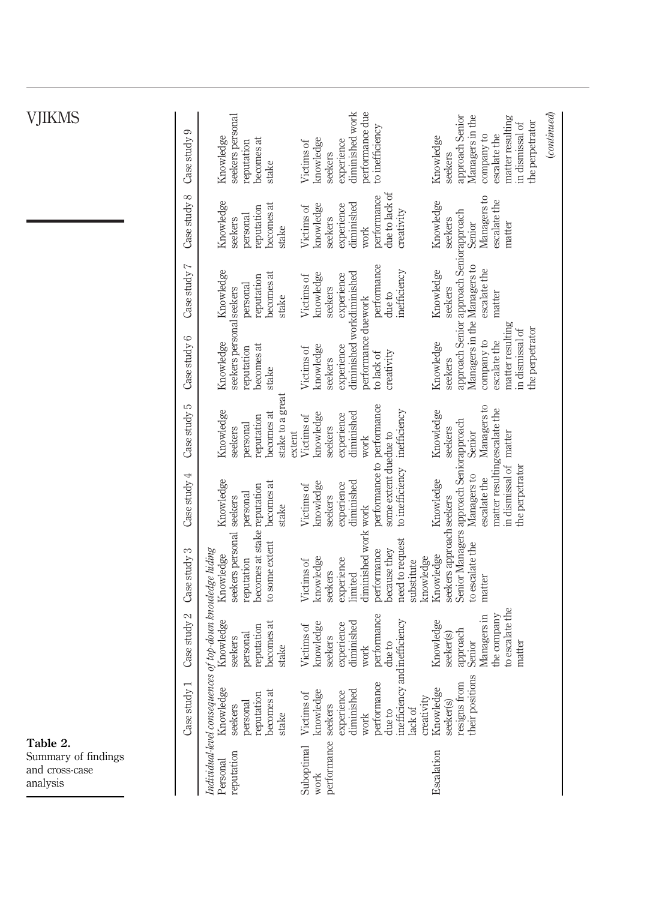<span id="page-13-0"></span>

|                                                               |                            | seekers personal                                                                                                                    | diminished work<br>performance due                                                                                                                               | $_{(continued)}$<br>Managers in the<br>approach Senior<br>matter resulting<br>the perpetrator                            |
|---------------------------------------------------------------|----------------------------|-------------------------------------------------------------------------------------------------------------------------------------|------------------------------------------------------------------------------------------------------------------------------------------------------------------|--------------------------------------------------------------------------------------------------------------------------|
|                                                               | Case study 9               | Knowledge<br>becomes at<br>reputation<br>stake                                                                                      | to inefficiency<br>knowledge<br>experience<br>Victims of<br>seekers                                                                                              | in dismissal of<br>company to<br>escalate the<br>Knowledge<br>seekers                                                    |
|                                                               | Case study 8               | Knowledge<br>becomes at<br>reputation<br>personal<br>seekers<br>stake                                                               | due to lack of<br>performance<br>knowledge<br>diminished<br>experience<br>Victims of<br>creativity<br>seekers<br>work                                            | Managers to<br>escalate the<br>Knowledge<br>seekers<br>Senior<br>matter                                                  |
|                                                               | Case study 7               | Knowledge<br>becomes at<br>reputation<br>personal<br>stake                                                                          | performance<br>inefficiency<br>knowledge<br>experience<br>Victims of<br>seekers<br>due to                                                                        | approach Senior approach Seniorapproach<br>Managers in the Managers to<br>escalate the<br>Knowledge<br>seekers<br>matter |
|                                                               | Case study 6               | seekers personal seekers<br>Knowledge<br>becomes at<br>reputation<br>stake                                                          | diminished workdiminished<br>performance duework<br>knowledge<br>experience<br>Victims of<br>creativity<br>to lack of<br>seekers                                 | matter resulting<br>the perpetrator<br>in dismissal of<br>company to<br>escalate the<br>Knowledge<br>seekers             |
|                                                               | Case study 5               | stake to a great<br>Knowledge<br>becomes at<br>reputation<br>personal<br>seekers<br>extent                                          | diminished<br>knowledge<br>experience<br>Victims of<br>seekers<br>work                                                                                           | Managers to<br>Knowledge<br>seekers<br>Senior                                                                            |
|                                                               | Case study 4               | Knowledge<br>becomes at<br>personal<br>seekers<br>stake                                                                             | performance to performance<br>to inefficiency inefficiency<br>some extent duedue to<br>diminished<br>knowledge<br>experience<br>Victims of<br>seekers            | matter resultingescalate the<br>in dismissal of matter<br>the perpetrator<br>Managers to<br>escalate the<br>Knowledge    |
|                                                               | Case study 3               | becomes at stake reputation<br>seekers personal<br>to some extent<br>Knowledge<br>reputation                                        | diminished work work<br>need to request<br>because they<br>performance<br>knowledge<br>knowledge<br>experience<br>Victims of<br>substitute<br>seekers<br>limited | Senior Managers approach Seniorapproach<br>seekers approach seekers<br>to escalate the<br>Knowledge<br>matter            |
|                                                               | Case study 2               | Individual-level consequences of top-down knowledge hiding<br>Knowledge<br>becomes at<br>reputation<br>personal<br>seekers<br>stake | performance<br>diminished<br>knowledge<br>experience<br>Victims of<br>seekers<br>due to<br>work                                                                  | to escalate the<br>the company<br>Managers in<br>Knowledge<br>approach<br>seeker(s)<br>Senior<br>matter                  |
|                                                               | $\frac{1}{y}$<br>Case stud | 96<br>ಕ<br>reputation<br>Knowled<br>becomes<br>personal<br>seekers<br>stake                                                         | inefficiency and inefficiency<br>performance<br>diminished<br>knowledge<br>experience<br>Victims of<br>creativity<br>seekers<br>lack of<br>due to<br>work        | their positions<br>resigns from<br>96<br>Knowled<br>seeker(s)                                                            |
| Table 2.<br>Summary of findings<br>and cross-case<br>analysis |                            | reputation<br>Personal                                                                                                              | performance<br>Suboptimal<br>work                                                                                                                                | Escalation                                                                                                               |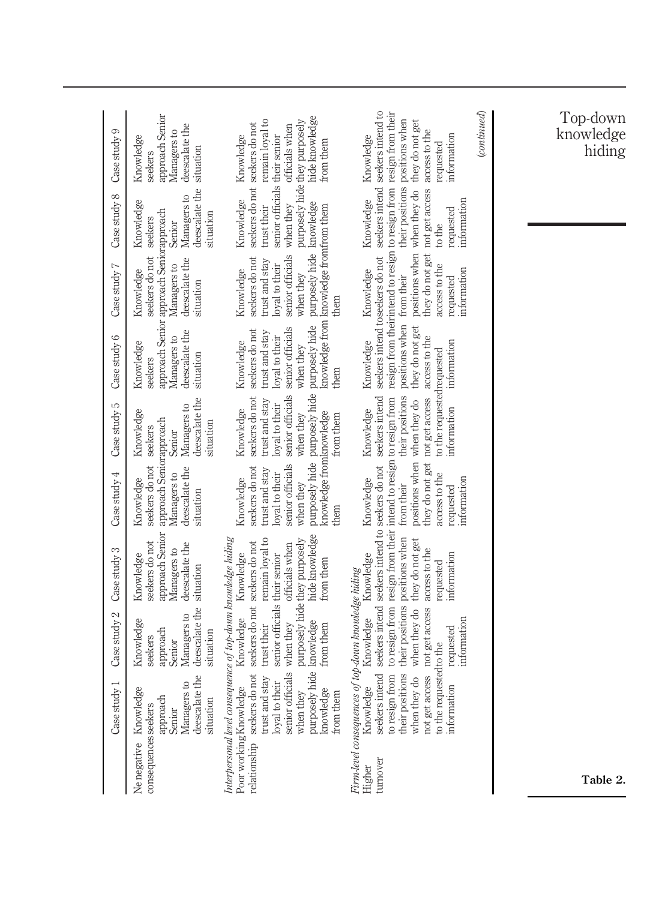| Case study 3<br>Case study 2<br>Case study 1 | approach Senior<br>seekers do not<br>deescalate the<br>Managers to<br>Knowledge<br>situation<br>deescalate the<br>Managers to<br>Knowledge<br>approach<br>situation<br>seekers<br>Senior<br>the<br>$\overline{c}$<br>Knowledge<br>Managers<br>deescalate<br>approach<br>situation<br>consequences seekers<br>Senior<br>Ne negative | hide knowledge<br>purposely hide they purposely<br>Interpersonal level consequence of top-down knowledge hiding<br>remain loyal to<br>seekers do not seekers do not<br>officials when<br>Knowledge<br>senior officials their senior<br>from them<br>Knowledge<br>purposely hide knowledge<br>when they<br>from them<br>trust their<br>senior officials<br>seekers do not<br>trust and stay<br>loyal to their<br>Poor working Knowledge<br>knowledge<br>when they<br>from them<br>relationship | to resign from resign from their intend to resign to resign from<br>seekers intend seekers intend to seekers do not<br>their positions positions when<br>they do not get<br>access to the<br>information<br>Knowledge<br>requested<br>of top-down knowledge hiding<br>not get access<br>when they do<br>Knowledge<br>information<br>requested<br>to the requested to the<br>seekers intend<br>their positions<br>not get access<br>to resign from<br>when they do<br>information<br>Knowledge<br>Firm-level consequences<br>turnover<br>Higher |                  | Table 2.                        |
|----------------------------------------------|------------------------------------------------------------------------------------------------------------------------------------------------------------------------------------------------------------------------------------------------------------------------------------------------------------------------------------|-----------------------------------------------------------------------------------------------------------------------------------------------------------------------------------------------------------------------------------------------------------------------------------------------------------------------------------------------------------------------------------------------------------------------------------------------------------------------------------------------|------------------------------------------------------------------------------------------------------------------------------------------------------------------------------------------------------------------------------------------------------------------------------------------------------------------------------------------------------------------------------------------------------------------------------------------------------------------------------------------------------------------------------------------------|------------------|---------------------------------|
| Case study 4                                 | approach Seniorapproach<br>seekers do not<br>deescalate the<br>Managers to<br>Knowledge<br>situation                                                                                                                                                                                                                               | knowledge fromknowledge<br>senior officials<br>seekers do not<br>trust and stay<br>loyal to their<br>Knowledge<br>when they<br>them                                                                                                                                                                                                                                                                                                                                                           | access to the<br>Knowledge<br>information<br>from their<br>requested                                                                                                                                                                                                                                                                                                                                                                                                                                                                           |                  |                                 |
| Case study 5                                 | deescalate the<br>Managers to<br>Knowledge<br>situation<br>seekers<br>Senior                                                                                                                                                                                                                                                       | purposely hide purposely hide<br>senior officials<br>seekers do not<br>trust and stay<br>loyal to their<br>Knowledge<br>when they<br>from them                                                                                                                                                                                                                                                                                                                                                | to the requested requested<br>their positions<br>they do not get not get access<br>seekers intend<br>positions when when they do<br>information<br>Knowledge                                                                                                                                                                                                                                                                                                                                                                                   |                  |                                 |
| Case study 6                                 | deescalate the<br>Managers to<br>Knowledge<br>situation<br>seekers                                                                                                                                                                                                                                                                 | purposely hide<br>senior officials<br>seekers do not<br>trust and stay<br>loyal to their<br>Knowledge<br>when they<br>them                                                                                                                                                                                                                                                                                                                                                                    | positions when from their<br>they do not get<br>access to the<br>Knowledge<br>information                                                                                                                                                                                                                                                                                                                                                                                                                                                      |                  |                                 |
| Case study 7                                 | approach Senior approach Seniorapproach<br>seekers do not<br>deescalate the<br>Managers to<br>Knowledge<br>situation                                                                                                                                                                                                               | purposely hide knowledge<br>knowledge from knowledge fromfrom them<br>senior officials<br>seekers do not<br>trust and stay<br>loyal to their<br>Knowledge<br>when they<br>them                                                                                                                                                                                                                                                                                                                | they do not get<br>seekers intend to seekers do not<br>access to the<br>Knowledge<br>information<br>requested                                                                                                                                                                                                                                                                                                                                                                                                                                  |                  |                                 |
| Case study 8                                 | deescalate the<br>Managers to<br>Knowledge<br>situation<br>seekers<br>Senior                                                                                                                                                                                                                                                       | senior officials their senior<br>Knowledge<br>trust their<br>when they                                                                                                                                                                                                                                                                                                                                                                                                                        | not get access<br>positions when when they do<br>Knowledge<br>information<br>requested<br>to the                                                                                                                                                                                                                                                                                                                                                                                                                                               |                  |                                 |
| Case study 9                                 | approach Senior<br>deescalate the<br>Managers to<br>Knowledge<br>situation<br>seekers                                                                                                                                                                                                                                              | hide knowledge<br>remain loyal to<br>purposely hide they purposely<br>seekers do not seekers do not<br>officials when<br>Knowledge<br>from them                                                                                                                                                                                                                                                                                                                                               | seekers intend seekers intend to<br>resign from their intend to resign to resign from resign from their<br>their positions positions when<br>they do not get<br>access to the<br>information<br>Knowledge<br>requested                                                                                                                                                                                                                                                                                                                         | $_{(continued)}$ | Top-down<br>knowledge<br>hiding |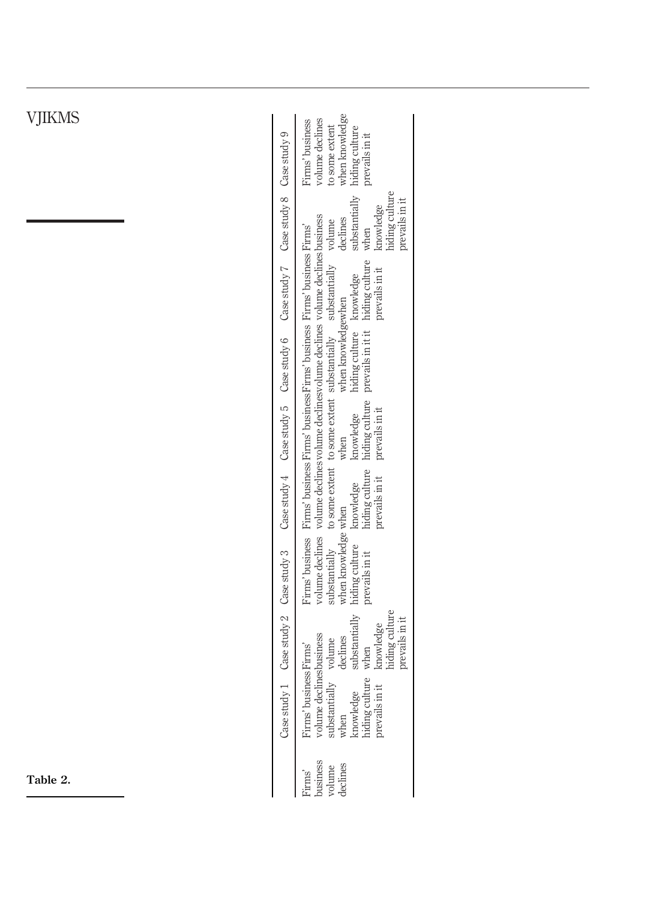| S | when knowledge<br>hiding culture<br>volume declines<br>Firms' business<br>to some extent<br>prevails in it                                                                                                                                                                                                             |  |
|---|------------------------------------------------------------------------------------------------------------------------------------------------------------------------------------------------------------------------------------------------------------------------------------------------------------------------|--|
|   | hiding culture<br>substantially<br>prevails in it<br>knowledge<br>declines<br>volume<br>when                                                                                                                                                                                                                           |  |
|   | Case study $7$ Case study 8 Case study 9<br>hiding culture<br>prevails in it                                                                                                                                                                                                                                           |  |
|   | volume declines volume declines volume declines volume declines volume declines business<br>Firms' business Firms' business Firms' business Firms' business Firms' business Firms'<br>to some extent to some extent substantially substantially<br>hiding culture knowledge<br>when knowledgewhen<br>prevails in it it |  |
|   | Case study $4$ Case study $5$ Case study 6<br>hiding culture<br>prevails in it<br>when<br>knowledge                                                                                                                                                                                                                    |  |
|   | hiding culture<br>prevails in it<br>knowledge                                                                                                                                                                                                                                                                          |  |
|   | when knowledge when<br>hiding culture<br>substantially<br>prevails in it                                                                                                                                                                                                                                               |  |
|   | Case study $1$ Case study $2$ Case study 3<br>substantially<br>hiding culture<br>prevails in it<br>when<br>knowledge                                                                                                                                                                                                   |  |
|   | volume declines<br>bustantially volume substantially volume declines when declines knowledge substantial hiding culture when hiding culture when prevails in throwledge<br>Firms' business Firms'                                                                                                                      |  |
|   | business<br>leclines<br>volume<br>`irms'                                                                                                                                                                                                                                                                               |  |

Table 2.  $\sim$ 

L,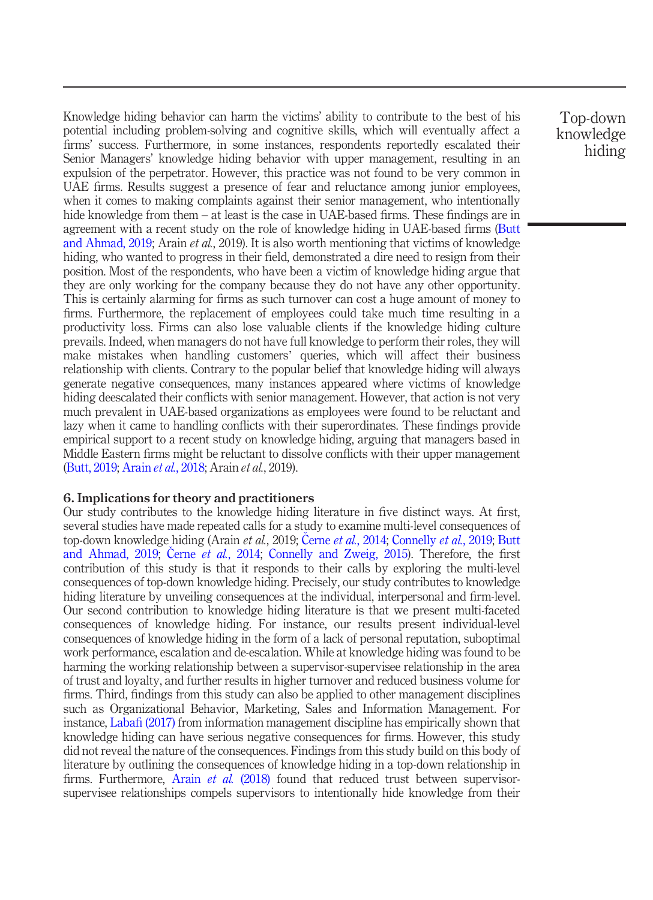Knowledge hiding behavior can harm the victims' ability to contribute to the best of his potential including problem-solving and cognitive skills, which will eventually affect a firms' success. Furthermore, in some instances, respondents reportedly escalated their Senior Managers' knowledge hiding behavior with upper management, resulting in an expulsion of the perpetrator. However, this practice was not found to be very common in UAE firms. Results suggest a presence of fear and reluctance among junior employees, when it comes to making complaints against their senior management, who intentionally hide knowledge from them – at least is the case in UAE-based firms. These findings are in agreement with a recent study on the role of knowledge hiding in UAE-based firms [\(Butt](#page-19-6) [and Ahmad, 2019;](#page-19-6) Arain et al., 2019). It is also worth mentioning that victims of knowledge hiding, who wanted to progress in their field, demonstrated a dire need to resign from their position. Most of the respondents, who have been a victim of knowledge hiding argue that they are only working for the company because they do not have any other opportunity. This is certainly alarming for firms as such turnover can cost a huge amount of money to firms. Furthermore, the replacement of employees could take much time resulting in a productivity loss. Firms can also lose valuable clients if the knowledge hiding culture prevails. Indeed, when managers do not have full knowledge to perform their roles, they will make mistakes when handling customers' queries, which will affect their business relationship with clients. Contrary to the popular belief that knowledge hiding will always generate negative consequences, many instances appeared where victims of knowledge hiding deescalated their conflicts with senior management. However, that action is not very much prevalent in UAE-based organizations as employees were found to be reluctant and lazy when it came to handling conflicts with their superordinates. These findings provide empirical support to a recent study on knowledge hiding, arguing that managers based in Middle Eastern firms might be reluctant to dissolve conflicts with their upper management [\(Butt, 2019](#page-19-7); [Arain](#page-19-15) et al., 2018; Arain et al., 2019).

#### 6. Implications for theory and practitioners

Our study contributes to the knowledge hiding literature in five distinct ways. At first, several studies have made repeated calls for a study to examine multi-level consequences of top-down knowledge hiding (Arain *et al.*, 2019; Černe *et al.*[, 2014;](#page-19-3) [Connelly](#page-19-8) *et al.*, 2019; [Butt](#page-19-6) [and Ahmad, 2019;](#page-19-6) Černe et al.[, 2014;](#page-19-3) [Connelly and Zweig, 2015](#page-19-9)). Therefore, the first contribution of this study is that it responds to their calls by exploring the multi-level consequences of top-down knowledge hiding. Precisely, our study contributes to knowledge hiding literature by unveiling consequences at the individual, interpersonal and firm-level. Our second contribution to knowledge hiding literature is that we present multi-faceted consequences of knowledge hiding. For instance, our results present individual-level consequences of knowledge hiding in the form of a lack of personal reputation, suboptimal work performance, escalation and de-escalation. While at knowledge hiding was found to be harming the working relationship between a supervisor-supervisee relationship in the area of trust and loyalty, and further results in higher turnover and reduced business volume for firms. Third, findings from this study can also be applied to other management disciplines such as Organizational Behavior, Marketing, Sales and Information Management. For instance, Labafi [\(2017\)](#page-20-6) from information management discipline has empirically shown that knowledge hiding can have serious negative consequences for firms. However, this study did not reveal the nature of the consequences. Findings from this study build on this body of literature by outlining the consequences of knowledge hiding in a top-down relationship in firms. Furthermore, Arain *et al.* [\(2018\)](#page-19-15) found that reduced trust between supervisorsupervisee relationships compels supervisors to intentionally hide knowledge from their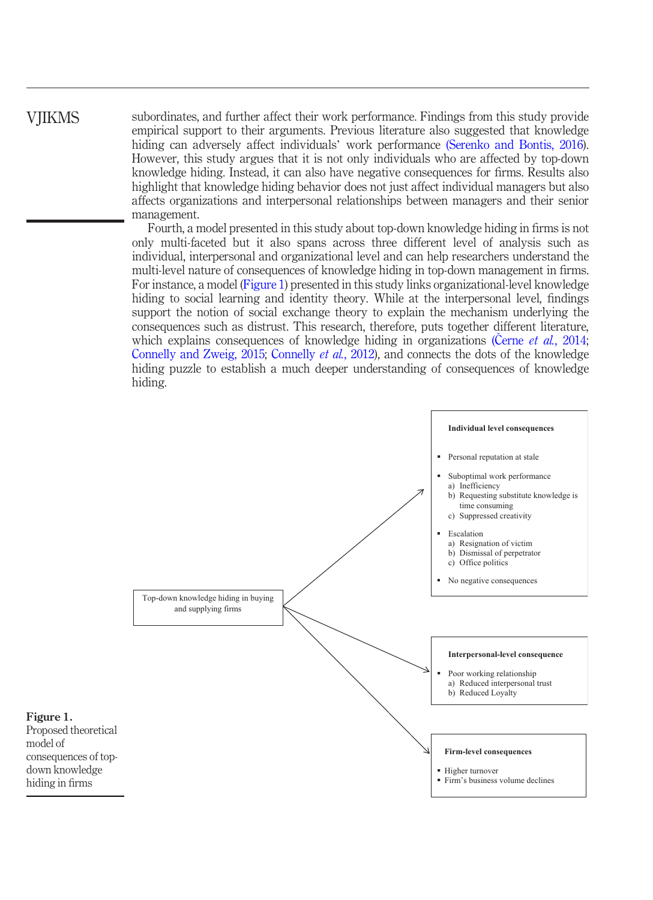## **VIIKMS**

subordinates, and further affect their work performance. Findings from this study provide empirical support to their arguments. Previous literature also suggested that knowledge hiding can adversely affect individuals' work performance [\(Serenko and Bontis, 2016\)](#page-20-2). However, this study argues that it is not only individuals who are affected by top-down knowledge hiding. Instead, it can also have negative consequences for firms. Results also highlight that knowledge hiding behavior does not just affect individual managers but also affects organizations and interpersonal relationships between managers and their senior management.

Fourth, a model presented in this study about top-down knowledge hiding in firms is not only multi-faceted but it also spans across three different level of analysis such as individual, interpersonal and organizational level and can help researchers understand the multi-level nature of consequences of knowledge hiding in top-down management in firms. For instance, a model ([Figure 1](#page-17-0)) presented in this study links organizational-level knowledge hiding to social learning and identity theory. While at the interpersonal level, findings support the notion of social exchange theory to explain the mechanism underlying the consequences such as distrust. This research, therefore, puts together different literature, which explains consequences of knowledge hiding in organizations (Cerne et al.[, 2014](#page-19-3); [Connelly and Zweig, 2015](#page-19-9); [Connelly](#page-19-2) et al., 2012), and connects the dots of the knowledge hiding puzzle to establish a much deeper understanding of consequences of knowledge hiding.



<span id="page-17-0"></span>Figure 1. Proposed theoretical model of consequences of topdown knowledge hiding in firms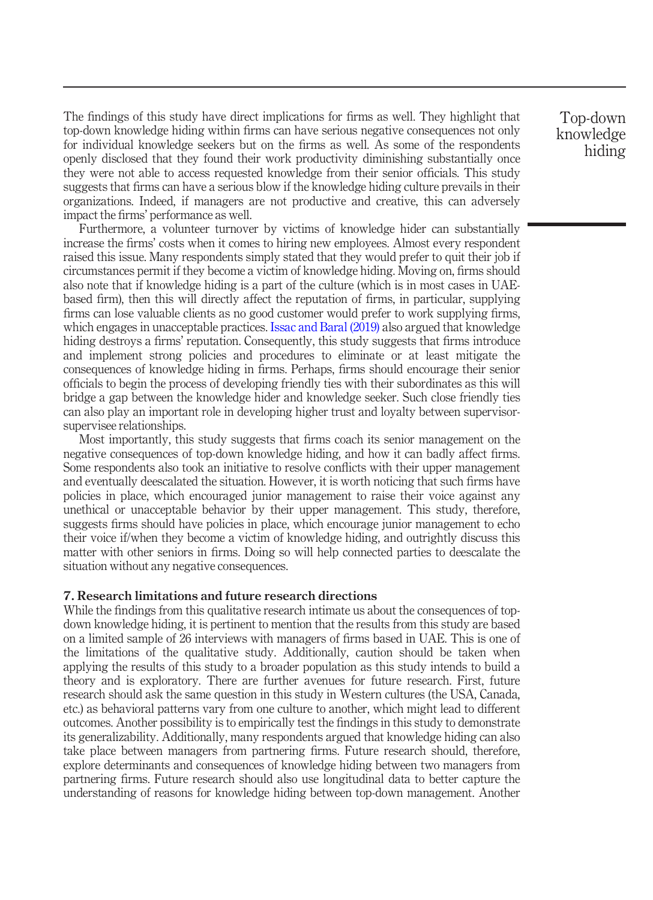The findings of this study have direct implications for firms as well. They highlight that top-down knowledge hiding within firms can have serious negative consequences not only for individual knowledge seekers but on the firms as well. As some of the respondents openly disclosed that they found their work productivity diminishing substantially once they were not able to access requested knowledge from their senior officials. This study suggests that firms can have a serious blow if the knowledge hiding culture prevails in their organizations. Indeed, if managers are not productive and creative, this can adversely impact the firms' performance as well.

Furthermore, a volunteer turnover by victims of knowledge hider can substantially increase the firms' costs when it comes to hiring new employees. Almost every respondent raised this issue. Many respondents simply stated that they would prefer to quit their job if circumstances permit if they become a victim of knowledge hiding. Moving on, firms should also note that if knowledge hiding is a part of the culture (which is in most cases in UAEbased firm), then this will directly affect the reputation of firms, in particular, supplying firms can lose valuable clients as no good customer would prefer to work supplying firms, which engages in unacceptable practices. [Issac and Baral \(2019\)](#page-20-18) also argued that knowledge hiding destroys a firms' reputation. Consequently, this study suggests that firms introduce and implement strong policies and procedures to eliminate or at least mitigate the consequences of knowledge hiding in firms. Perhaps, firms should encourage their senior officials to begin the process of developing friendly ties with their subordinates as this will bridge a gap between the knowledge hider and knowledge seeker. Such close friendly ties can also play an important role in developing higher trust and loyalty between supervisorsupervisee relationships.

Most importantly, this study suggests that firms coach its senior management on the negative consequences of top-down knowledge hiding, and how it can badly affect firms. Some respondents also took an initiative to resolve conflicts with their upper management and eventually deescalated the situation. However, it is worth noticing that such firms have policies in place, which encouraged junior management to raise their voice against any unethical or unacceptable behavior by their upper management. This study, therefore, suggests firms should have policies in place, which encourage junior management to echo their voice if/when they become a victim of knowledge hiding, and outrightly discuss this matter with other seniors in firms. Doing so will help connected parties to deescalate the situation without any negative consequences.

#### 7. Research limitations and future research directions

While the findings from this qualitative research intimate us about the consequences of topdown knowledge hiding, it is pertinent to mention that the results from this study are based on a limited sample of 26 interviews with managers of firms based in UAE. This is one of the limitations of the qualitative study. Additionally, caution should be taken when applying the results of this study to a broader population as this study intends to build a theory and is exploratory. There are further avenues for future research. First, future research should ask the same question in this study in Western cultures (the USA, Canada, etc.) as behavioral patterns vary from one culture to another, which might lead to different outcomes. Another possibility is to empirically test the findings in this study to demonstrate its generalizability. Additionally, many respondents argued that knowledge hiding can also take place between managers from partnering firms. Future research should, therefore, explore determinants and consequences of knowledge hiding between two managers from partnering firms. Future research should also use longitudinal data to better capture the understanding of reasons for knowledge hiding between top-down management. Another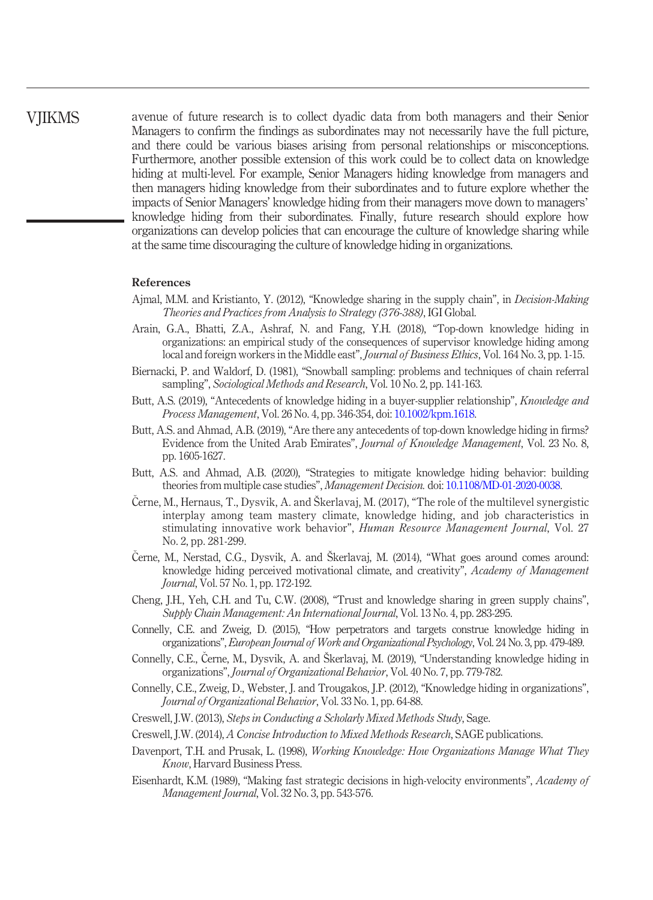**VIIKMS** 

avenue of future research is to collect dyadic data from both managers and their Senior Managers to confirm the findings as subordinates may not necessarily have the full picture, and there could be various biases arising from personal relationships or misconceptions. Furthermore, another possible extension of this work could be to collect data on knowledge hiding at multi-level. For example, Senior Managers hiding knowledge from managers and then managers hiding knowledge from their subordinates and to future explore whether the impacts of Senior Managers' knowledge hiding from their managers move down to managers' knowledge hiding from their subordinates. Finally, future research should explore how organizations can develop policies that can encourage the culture of knowledge sharing while at the same time discouraging the culture of knowledge hiding in organizations.

### References

- <span id="page-19-1"></span>Ajmal, M.M. and Kristianto, Y. (2012), "Knowledge sharing in the supply chain", in Decision-Making Theories and Practices from Analysis to Strategy (376-388), IGI Global.
- <span id="page-19-15"></span>Arain, G.A., Bhatti, Z.A., Ashraf, N. and Fang, Y.H. (2018), "Top-down knowledge hiding in organizations: an empirical study of the consequences of supervisor knowledge hiding among local and foreign workers in the Middle east", *Journal of Business Ethics*, Vol. 164 No. 3, pp. 1-15.
- <span id="page-19-13"></span>Biernacki, P. and Waldorf, D. (1981), "Snowball sampling: problems and techniques of chain referral sampling", Sociological Methods and Research, Vol. 10 No. 2, pp. 141-163.
- <span id="page-19-7"></span>Butt, A.S. (2019), "Antecedents of knowledge hiding in a buyer-supplier relationship", Knowledge and Process Management, Vol. 26 No. 4, pp. 346-354, doi: [10.1002/kpm.1618](http://dx.doi.org/10.1002/kpm.1618).
- <span id="page-19-6"></span>Butt, A.S. and Ahmad, A.B. (2019), "Are there any antecedents of top-down knowledge hiding in firms? Evidence from the United Arab Emirates", Journal of Knowledge Management, Vol. 23 No. 8, pp. 1605-1627.
- <span id="page-19-5"></span>Butt, A.S. and Ahmad, A.B. (2020), "Strategies to mitigate knowledge hiding behavior: building theories from multiple case studies", Management Decision. doi: [10.1108/MD-01-2020-0038](http://dx.doi.org/10.1108/MD-01-2020-0038).
- <span id="page-19-4"></span> Cerne, M., Hernaus, T., Dysvik, A. and Škerlavaj, M. (2017), "The role of the multilevel synergistic interplay among team mastery climate, knowledge hiding, and job characteristics in stimulating innovative work behavior", Human Resource Management Journal, Vol. 27 No. 2, pp. 281-299.
- <span id="page-19-3"></span> Cerne, M., Nerstad, C.G., Dysvik, A. and Škerlavaj, M. (2014), "What goes around comes around: knowledge hiding perceived motivational climate, and creativity", Academy of Management Journal, Vol. 57 No. 1, pp. 172-192.
- <span id="page-19-0"></span>Cheng, J.H., Yeh, C.H. and Tu, C.W. (2008), "Trust and knowledge sharing in green supply chains", Supply Chain Management: An International Journal, Vol. 13 No. 4, pp. 283-295.
- <span id="page-19-9"></span>Connelly, C.E. and Zweig, D. (2015), "How perpetrators and targets construe knowledge hiding in organizations", European Journal of Work and Organizational Psychology, Vol. 24 No. 3, pp. 479-489.
- <span id="page-19-8"></span>Connelly, C.E., Cerne, M., Dysvik, A. and Škerlavaj, M. (2019), "Understanding knowledge hiding in organizations", Journal of Organizational Behavior, Vol. 40 No. 7, pp. 779-782.
- <span id="page-19-2"></span>Connelly, C.E., Zweig, D., Webster, J. and Trougakos, J.P. (2012), "Knowledge hiding in organizations", Journal of Organizational Behavior, Vol. 33 No. 1, pp. 64-88.
- <span id="page-19-12"></span>Creswell, J.W. (2013), Steps in Conducting a Scholarly Mixed Methods Study, Sage.
- <span id="page-19-11"></span>Creswell, J.W. (2014), A Concise Introduction to Mixed Methods Research, SAGE publications.
- <span id="page-19-10"></span>Davenport, T.H. and Prusak, L. (1998), *Working Knowledge: How Organizations Manage What They* Know, Harvard Business Press.
- <span id="page-19-14"></span>Eisenhardt, K.M. (1989), "Making fast strategic decisions in high-velocity environments", Academy of Management Journal, Vol. 32 No. 3, pp. 543-576.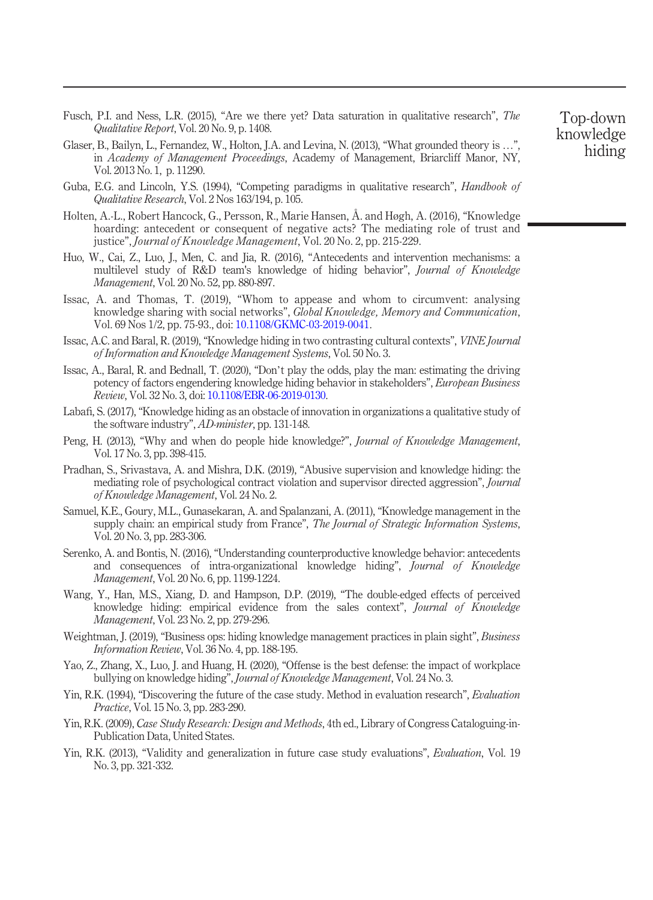- <span id="page-20-15"></span>Fusch, P.I. and Ness, L.R. (2015), "Are we there yet? Data saturation in qualitative research", The Qualitative Report, Vol. 20 No. 9, p. 1408.
- <span id="page-20-16"></span>Glaser, B., Bailyn, L., Fernandez, W., Holton, J.A. and Levina, N. (2013), "What grounded theory is …", in Academy of Management Proceedings, Academy of Management, Briarcliff Manor, NY, Vol. 2013 No. 1, p. 11290.
- <span id="page-20-17"></span>Guba, E.G. and Lincoln, Y.S. (1994), "Competing paradigms in qualitative research", *Handbook of* Qualitative Research, Vol. 2 Nos 163/194, p. 105.
- <span id="page-20-5"></span>Holten, A.-L., Robert Hancock, G., Persson, R., Marie Hansen, Å. and Høgh, A. (2016), "Knowledge hoarding: antecedent or consequent of negative acts? The mediating role of trust and justice", *Journal of Knowledge Management*, Vol. 20 No. 2, pp. 215-229.
- <span id="page-20-7"></span>Huo, W., Cai, Z., Luo, J., Men, C. and Jia, R. (2016), "Antecedents and intervention mechanisms: a multilevel study of R&D team's knowledge of hiding behavior", Journal of Knowledge Management, Vol. 20 No. 52, pp. 880-897.
- <span id="page-20-0"></span>Issac, A. and Thomas, T. (2019), "Whom to appease and whom to circumvent: analysing knowledge sharing with social networks", Global Knowledge, Memory and Communication, Vol. 69 Nos 1/2, pp. 75-93., doi: [10.1108/GKMC-03-2019-0041](http://dx.doi.org/10.1108/GKMC-03-2019-0041).
- <span id="page-20-18"></span>Issac, A.C. and Baral, R. (2019), "Knowledge hiding in two contrasting cultural contexts", VINE Journal of Information and Knowledge Management Systems, Vol. 50 No. 3.
- <span id="page-20-11"></span>Issac, A., Baral, R. and Bednall, T. (2020), "Don't play the odds, play the man: estimating the driving potency of factors engendering knowledge hiding behavior in stakeholders", European Business Review, Vol. 32 No. 3, doi: [10.1108/EBR-06-2019-0130](http://dx.doi.org/10.1108/EBR-06-2019-0130).
- <span id="page-20-6"></span>Labafi, S. (2017), "Knowledge hiding as an obstacle of innovation in organizations a qualitative study of the software industry", AD-minister, pp. 131-148.
- <span id="page-20-4"></span>Peng, H. (2013), "Why and when do people hide knowledge?", Journal of Knowledge Management, Vol. 17 No. 3, pp. 398-415.
- <span id="page-20-8"></span>Pradhan, S., Srivastava, A. and Mishra, D.K. (2019), "Abusive supervision and knowledge hiding: the mediating role of psychological contract violation and supervisor directed aggression", Journal of Knowledge Management, Vol. 24 No. 2.
- <span id="page-20-1"></span>Samuel, K.E., Goury, M.L., Gunasekaran, A. and Spalanzani, A. (2011), "Knowledge management in the supply chain: an empirical study from France", *The Journal of Strategic Information Systems*, Vol. 20 No. 3, pp. 283-306.
- <span id="page-20-2"></span>Serenko, A. and Bontis, N. (2016), "Understanding counterproductive knowledge behavior: antecedents and consequences of intra-organizational knowledge hiding", Journal of Knowledge Management, Vol. 20 No. 6, pp. 1199-1224.
- <span id="page-20-3"></span>Wang, Y., Han, M.S., Xiang, D. and Hampson, D.P. (2019), "The double-edged effects of perceived knowledge hiding: empirical evidence from the sales context", Journal of Knowledge Management, Vol. 23 No. 2, pp. 279-296.
- <span id="page-20-9"></span>Weightman, J. (2019), "Business ops: hiding knowledge management practices in plain sight", *Business* Information Review, Vol. 36 No. 4, pp. 188-195.
- <span id="page-20-10"></span>Yao, Z., Zhang, X., Luo, J. and Huang, H. (2020), "Offense is the best defense: the impact of workplace bullying on knowledge hiding", Journal of Knowledge Management, Vol. 24 No. 3.
- <span id="page-20-14"></span>Yin, R.K. (1994), "Discovering the future of the case study. Method in evaluation research", Evaluation Practice, Vol. 15 No. 3, pp. 283-290.
- <span id="page-20-12"></span>Yin, R.K. (2009), Case Study Research: Design and Methods, 4th ed., Library of Congress Cataloguing-in-Publication Data, United States.
- <span id="page-20-13"></span>Yin, R.K. (2013), "Validity and generalization in future case study evaluations", Evaluation, Vol. 19 No. 3, pp. 321-332.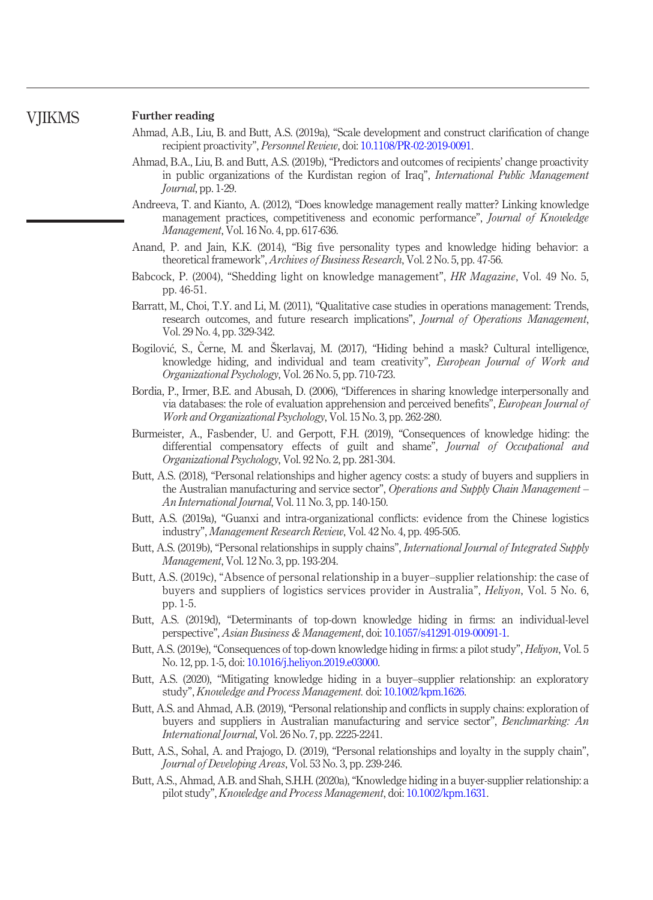#### Further reading **VIIKMS**

- Ahmad, A.B., Liu, B. and Butt, A.S. (2019a), "Scale development and construct clarification of change recipient proactivity", Personnel Review, doi: [10.1108/PR-02-2019-0091](http://dx.doi.org/10.1108/PR-02-2019-0091).
- Ahmad, B.A., Liu, B. and Butt, A.S. (2019b), "Predictors and outcomes of recipients' change proactivity in public organizations of the Kurdistan region of Iraq", International Public Management Journal, pp. 1-29.
- Andreeva, T. and Kianto, A. (2012), "Does knowledge management really matter? Linking knowledge management practices, competitiveness and economic performance", Journal of Knowledge Management, Vol. 16 No. 4, pp. 617-636.
- Anand, P. and Jain, K.K. (2014), "Big five personality types and knowledge hiding behavior: a theoretical framework", Archives of Business Research, Vol. 2 No. 5, pp. 47-56.
- Babcock, P. (2004), "Shedding light on knowledge management", HR Magazine, Vol. 49 No. 5, pp. 46-51.
- Barratt, M., Choi, T.Y. and Li, M. (2011), "Qualitative case studies in operations management: Trends, research outcomes, and future research implications", Journal of Operations Management, Vol. 29 No. 4, pp. 329-342.
- Bogilovic, S., Cerne, M. and Škerlavaj, M. (2017), "Hiding behind a mask? Cultural intelligence, knowledge hiding, and individual and team creativity", European Journal of Work and Organizational Psychology, Vol. 26 No. 5, pp. 710-723.
- Bordia, P., Irmer, B.E. and Abusah, D. (2006), "Differences in sharing knowledge interpersonally and via databases: the role of evaluation apprehension and perceived benefits", European Journal of Work and Organizational Psychology, Vol. 15 No. 3, pp. 262-280.
- Burmeister, A., Fasbender, U. and Gerpott, F.H. (2019), "Consequences of knowledge hiding: the differential compensatory effects of guilt and shame", *Journal of Occupational and* Organizational Psychology, Vol. 92 No. 2, pp. 281-304.
- Butt, A.S. (2018), "Personal relationships and higher agency costs: a study of buyers and suppliers in the Australian manufacturing and service sector", Operations and Supply Chain Management – An International Journal, Vol. 11 No. 3, pp. 140-150.
- Butt, A.S. (2019a), "Guanxi and intra-organizational conflicts: evidence from the Chinese logistics industry", Management Research Review, Vol. 42 No. 4, pp. 495-505.
- Butt, A.S. (2019b), "Personal relationships in supply chains", *International Journal of Integrated Supply* Management, Vol. 12 No. 3, pp. 193-204.
- Butt, A.S. (2019c), "Absence of personal relationship in a buyer–supplier relationship: the case of buyers and suppliers of logistics services provider in Australia", Heliyon, Vol. 5 No. 6, pp. 1-5.
- Butt, A.S. (2019d), "Determinants of top-down knowledge hiding in firms: an individual-level perspective", Asian Business & Management, doi: [10.1057/s41291-019-00091-1](http://dx.doi.org/10.1057/s41291-019-00091-1).
- Butt, A.S. (2019e), "Consequences of top-down knowledge hiding in firms: a pilot study", Heliyon, Vol. 5 No. 12, pp. 1-5, doi: [10.1016/j.heliyon.2019.e03000](http://dx.doi.org/10.1016/j.heliyon.2019.e03000).
- Butt, A.S. (2020), "Mitigating knowledge hiding in a buyer–supplier relationship: an exploratory study", Knowledge and Process Management. doi: [10.1002/kpm.1626.](http://dx.doi.org/10.1002/kpm.1626)
- Butt, A.S. and Ahmad, A.B. (2019), "Personal relationship and conflicts in supply chains: exploration of buyers and suppliers in Australian manufacturing and service sector", Benchmarking: An International Journal, Vol. 26 No. 7, pp. 2225-2241.
- Butt, A.S., Sohal, A. and Prajogo, D. (2019), "Personal relationships and loyalty in the supply chain", Journal of Developing Areas, Vol. 53 No. 3, pp. 239-246.
- Butt, A.S., Ahmad, A.B. and Shah, S.H.H. (2020a),"Knowledge hiding in a buyer-supplier relationship: a pilot study", Knowledge and Process Management, doi: [10.1002/kpm.1631.](http://dx.doi.org/10.1002/kpm.1631)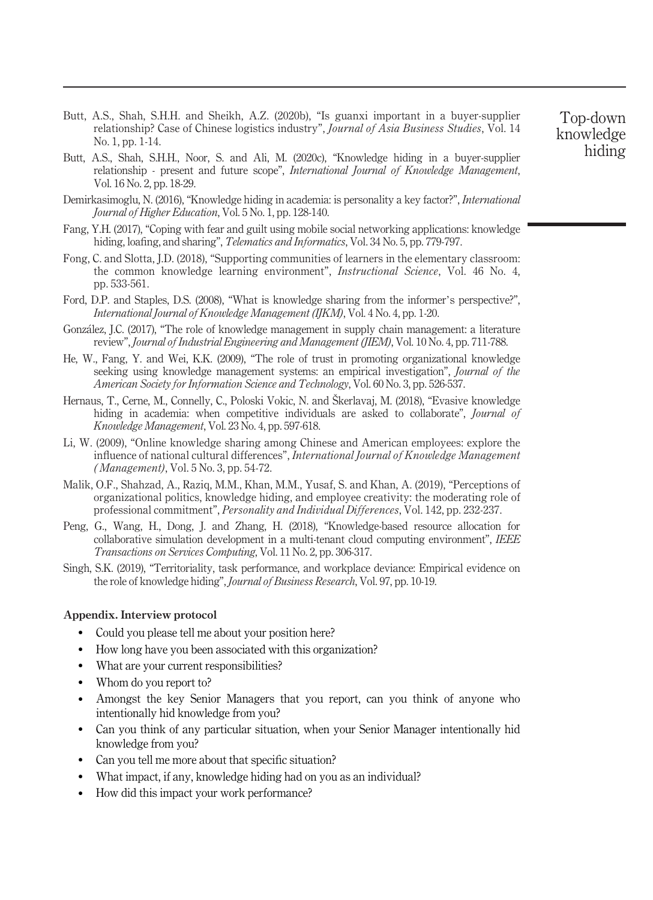- Butt, A.S., Shah, S.H.H. and Sheikh, A.Z. (2020b), "Is guanxi important in a buyer-supplier relationship? Case of Chinese logistics industry", *Journal of Asia Business Studies*, Vol. 14 No. 1, pp. 1-14.
- Butt, A.S., Shah, S.H.H., Noor, S. and Ali, M. (2020c), "Knowledge hiding in a buyer-supplier relationship - present and future scope", International Journal of Knowledge Management, Vol. 16 No. 2, pp. 18-29.
- Demirkasimoglu, N. (2016), "Knowledge hiding in academia: is personality a key factor?", International Journal of Higher Education, Vol. 5 No. 1, pp. 128-140.
- Fang, Y.H. (2017), "Coping with fear and guilt using mobile social networking applications: knowledge hiding, loafing, and sharing", *Telematics and Informatics*, Vol. 34 No. 5, pp. 779-797.
- Fong, C. and Slotta, J.D. (2018), "Supporting communities of learners in the elementary classroom: the common knowledge learning environment", Instructional Science, Vol. 46 No. 4, pp. 533-561.
- Ford, D.P. and Staples, D.S. (2008), "What is knowledge sharing from the informer's perspective?", International Journal of Knowledge Management (IJKM), Vol. 4 No. 4, pp. 1-20.
- Gonzalez, J.C. (2017), "The role of knowledge management in supply chain management: a literature review", Journal of Industrial Engineering and Management (JIEM), Vol. 10 No. 4, pp. 711-788.
- He, W., Fang, Y. and Wei, K.K. (2009), "The role of trust in promoting organizational knowledge seeking using knowledge management systems: an empirical investigation", Journal of the American Society for Information Science and Technology, Vol. 60 No. 3, pp. 526-537.
- Hernaus, T., Cerne, M., Connelly, C., Poloski Vokic, N. and Škerlavaj, M. (2018), "Evasive knowledge hiding in academia: when competitive individuals are asked to collaborate", *Journal of* Knowledge Management, Vol. 23 No. 4, pp. 597-618.
- Li, W. (2009), "Online knowledge sharing among Chinese and American employees: explore the influence of national cultural differences", International Journal of Knowledge Management ( Management), Vol. 5 No. 3, pp. 54-72.
- Malik, O.F., Shahzad, A., Raziq, M.M., Khan, M.M., Yusaf, S. and Khan, A. (2019), "Perceptions of organizational politics, knowledge hiding, and employee creativity: the moderating role of professional commitment", Personality and Individual Differences, Vol. 142, pp. 232-237.
- Peng, G., Wang, H., Dong, J. and Zhang, H. (2018), "Knowledge-based resource allocation for collaborative simulation development in a multi-tenant cloud computing environment", IEEE Transactions on Services Computing, Vol. 11 No. 2, pp. 306-317.
- Singh, S.K. (2019), "Territoriality, task performance, and workplace deviance: Empirical evidence on the role of knowledge hiding", Journal of Business Research, Vol. 97, pp. 10-19.

#### <span id="page-22-0"></span>Appendix. Interview protocol

- Could you please tell me about your position here?
- How long have you been associated with this organization?
- What are your current responsibilities?
- Whom do you report to?
- Amongst the key Senior Managers that you report, can you think of anyone who intentionally hid knowledge from you?
- Can you think of any particular situation, when your Senior Manager intentionally hid knowledge from you?
- Can you tell me more about that specific situation?
- What impact, if any, knowledge hiding had on you as an individual?
- How did this impact your work performance?